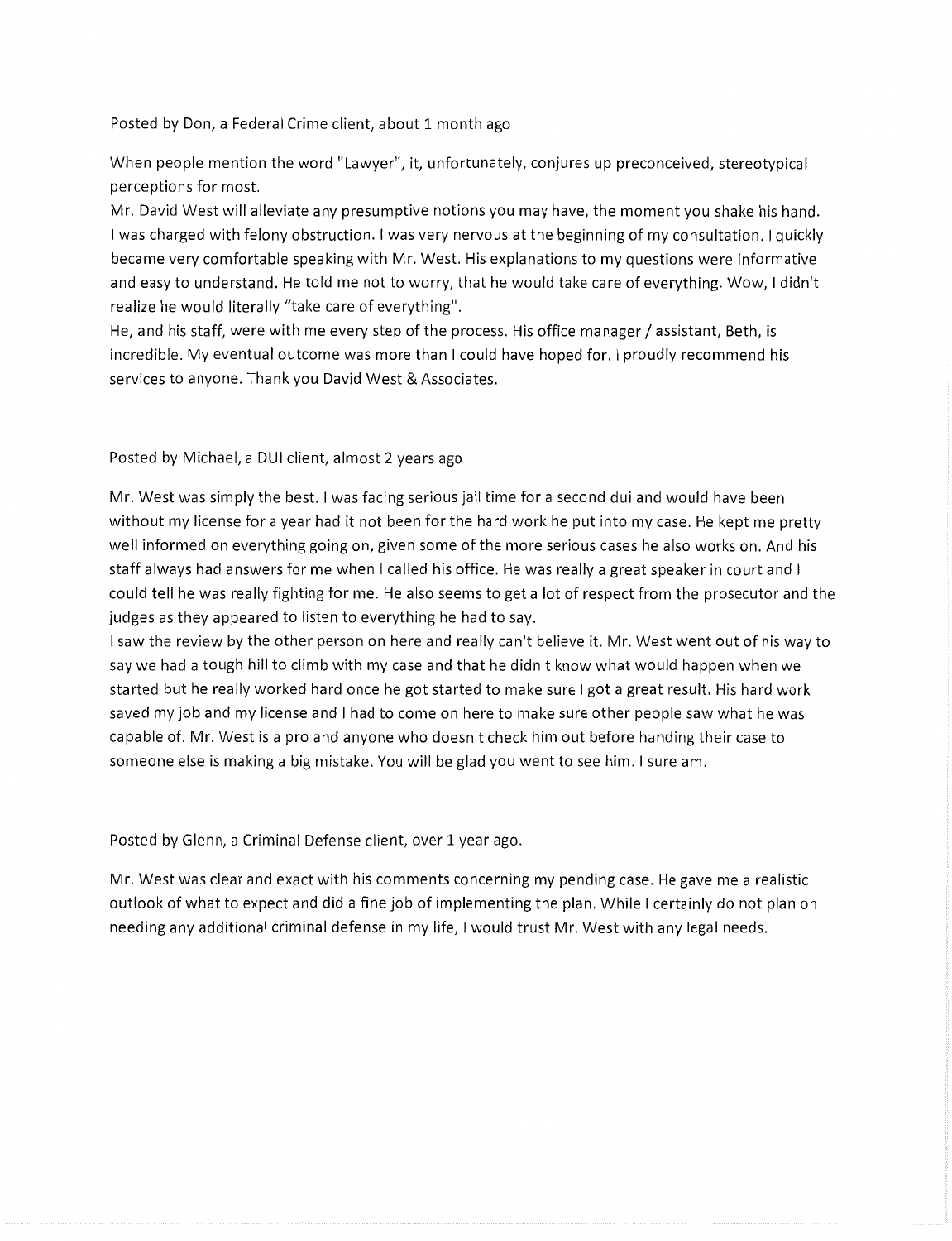Posted by Don, a Federal Crime client, about 1 month ago

When people mention the word "Lawyer", it, unfortunately, conjures up preconceived, stereotypical perceptions for most.

Mr. David West will alleviate any presumptive notions you may have, the moment you shake his hand. I was charged with felony obstruction. I was very nervous at the beginning of my consultation. I quickly became very comfortable speaking with Mr. West. His explanations to my questions were informative and easy to understand. He told me not to worry, that he would take care of everything. Wow, I didn't realize he would literally "take care of everything".

He, and his staff, were with me every step of the process. His office manager / assistant, Beth, is incredible. My eventual outcome was more than I could have hoped for. I proudly recommend his services to anyone. Thank you David West & Associates.

Posted by Michael, a DUI client, almost 2 years ago

Mr. West was simply the best. I was facing serious jail time for a second dui and would have been without my license for a year had it not been for the hard work he put into my case. He kept me pretty well informed on everything going on, given some of the more serious cases he also works on. And his staff always had answers for me when I called his office. He was really a great speaker in court and I could tell he was really fighting for me. He also seems to get a lot of respect from the prosecutor and the judges as they appeared to listen to everything he had to say.

I saw the review by the other person on here and really can't believe it. Mr. West went out of his way to say we had a tough hill to climb with my case and that he didn't know what would happen when we started but he really worked hard once he got started to make sure I got a great result. His hard work saved my job and my license and I had to come on here to make sure other people saw what he was capable of. Mr. West is a pro and anyone who doesn't check him out before handing their case to someone else is making a big mistake. You will be glad you went to see him. I sure am.

Posted by Glenn, a Criminal Defense client, over 1 year ago.

Mr. West was clear and exact with his comments concerning my pending case. He gave me a realistic outlook of what to expect and did a fine job of implementing the plan. While I certainly do not plan on needing any additional criminal defense in my life, I would trust Mr. West with any legal needs.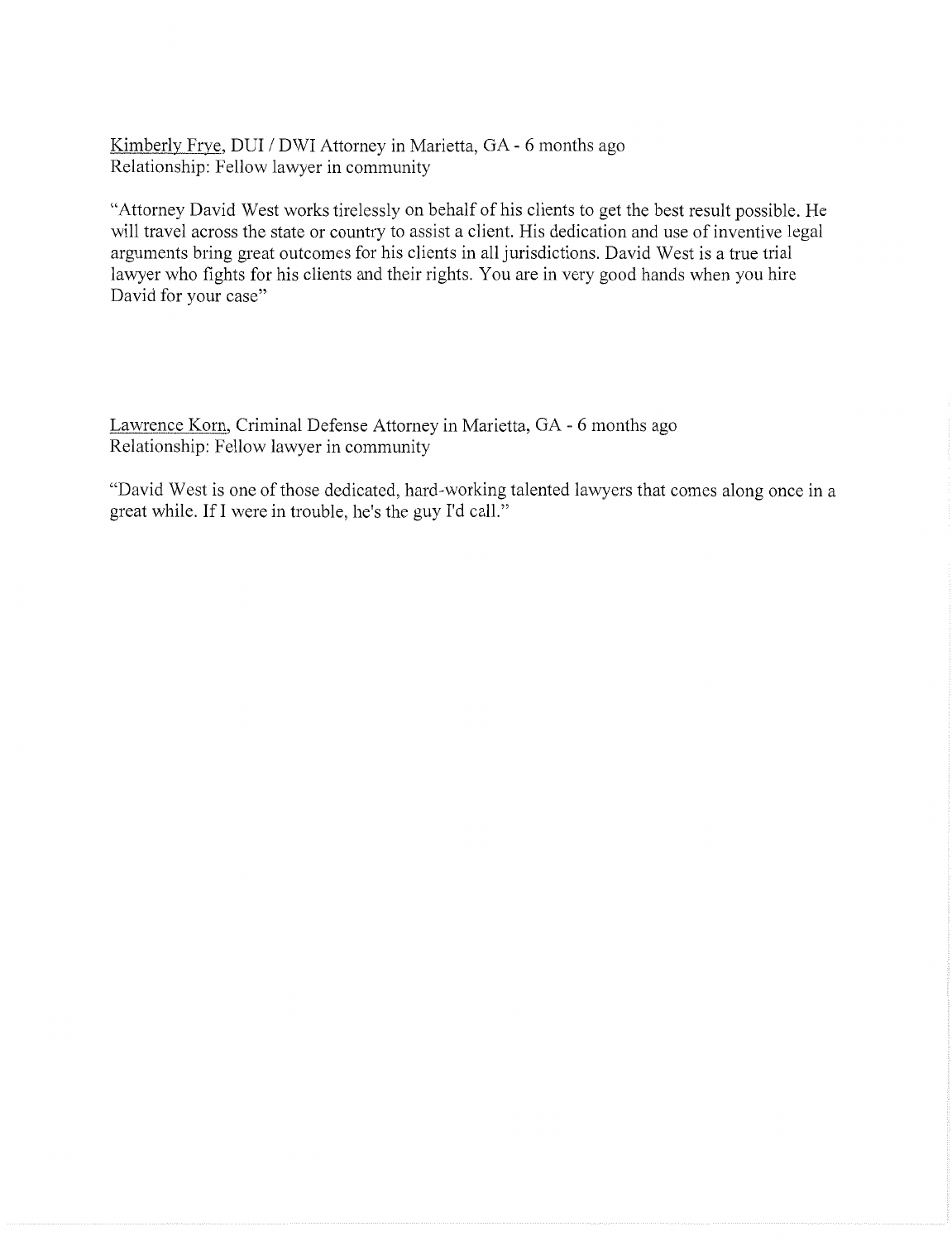Kimberly Frye, DUI / DWI Attorney in Marietta, GA - 6 months ago Relationship: Fellow lawyer in community

"Attorney David West works tirelessly on behalf of his clients to get the best result possible. He will travel across the state or country to assist a client. His dedication and use of inventive legal arguments bring great outcomes for his clients in all jurisdictions. David West is a true trial lawyer who fights for his clients and their rights. You are in very good hands when you hire David for your case"

Lawrence Korn, Criminal Defense Attorney in Marietta, GA - 6 months ago Relationship: Fellow lawyer in community

"David West is one of those dedicated, hard-working talented lawyers that comes along once in a great while. Ifl were in trouble, he's the guy I'd call."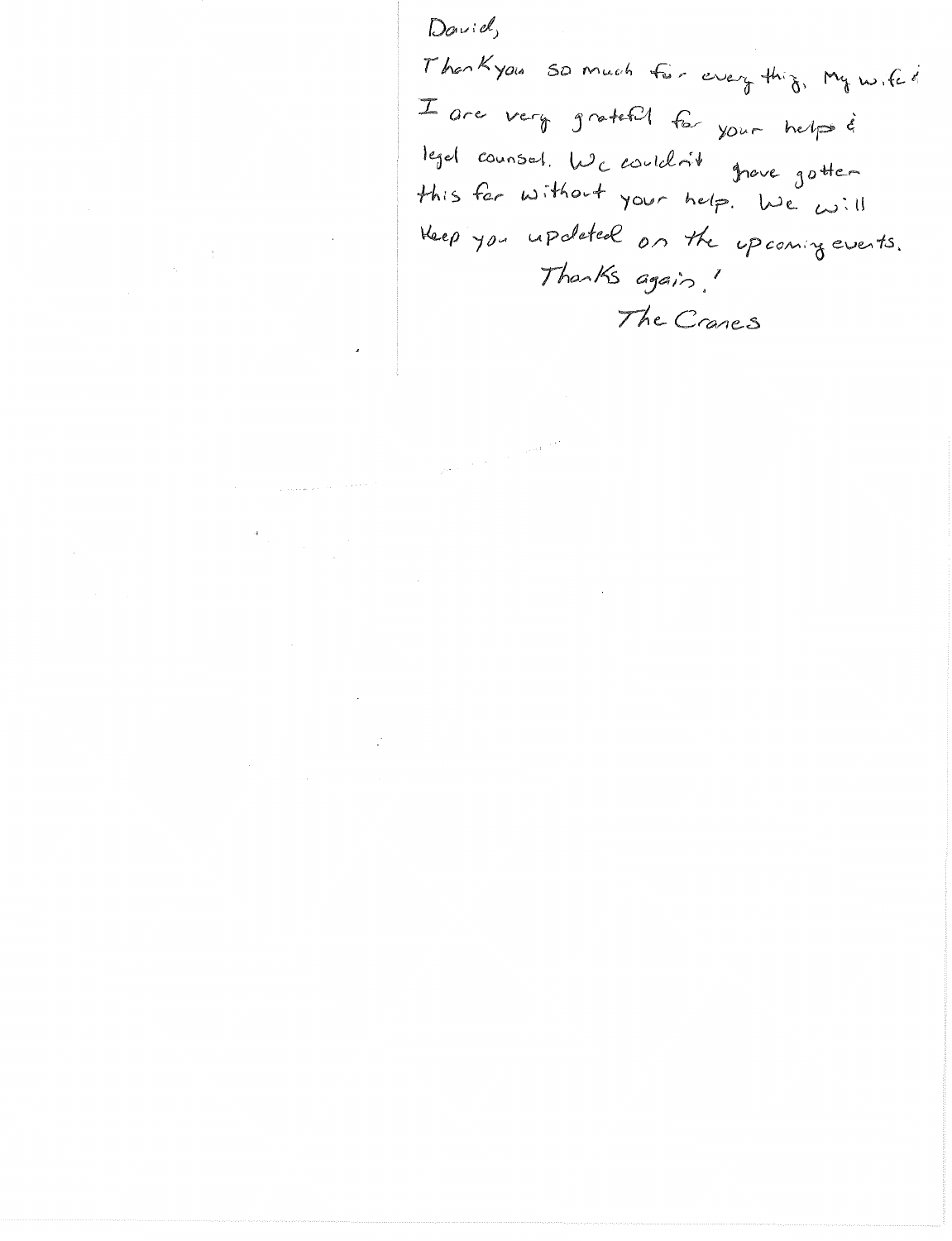David Thankyous so much for every thing, My wife of I are very grateful for your helps & legal counsel. We couldn't grave gottern<br>this far without your help. We will Heep you updated on the upcoming events. Thanks again. The Cranes

 $\label{eq:1} \rho_{\rm eff} = \rho_{\rm eff} \left( \frac{1}{\rho_{\rm eff}} \right) \left( \frac{1}{\rho_{\rm eff}} \right) \left( \frac{1}{\rho_{\rm eff}} \right) \left( \frac{1}{\rho_{\rm eff}} \right) \left( \frac{1}{\rho_{\rm eff}} \right) \left( \frac{1}{\rho_{\rm eff}} \right) \left( \frac{1}{\rho_{\rm eff}} \right) \left( \frac{1}{\rho_{\rm eff}} \right) \left( \frac{1}{\rho_{\rm eff}} \right) \left( \frac{1}{\rho_{\rm eff}} \right) \left( \frac{1}{\rho_{\rm eff}} \right)$ 

 $\sim 10^{-1}$ 

 $\sim 300$ 

 $\mathcal{O}(10^{-10})$  . The corresponding to the  $\sim 10^{-10}$  expression of  $\sim 10^{-10}$ 

 $\label{eq:2.1} \frac{1}{\left\| \left( \frac{1}{\sqrt{2}} \right)^2 \right\|_{\mathcal{H}^1}^2} \leq \frac{1}{\sqrt{2}} \left( \frac{1}{\sqrt{2}} \right)^2 \leq \frac{1}{\sqrt{2}} \left( \frac{1}{\sqrt{2}} \right)^2 \leq \frac{1}{\sqrt{2}} \left( \frac{1}{\sqrt{2}} \right)^2 \leq \frac{1}{\sqrt{2}} \left( \frac{1}{\sqrt{2}} \right)^2 \leq \frac{1}{\sqrt{2}} \left( \frac{1}{\sqrt{2}} \right)^2 \leq \frac{1}{\sqrt{2}} \left( \frac$ 

 $\label{eq:2.1} \frac{1}{\sqrt{2}}\left(\frac{1}{\sqrt{2}}\right)^{2} \left(\frac{1}{\sqrt{2}}\right)^{2} \left(\frac{1}{\sqrt{2}}\right)^{2} \left(\frac{1}{\sqrt{2}}\right)^{2} \left(\frac{1}{\sqrt{2}}\right)^{2} \left(\frac{1}{\sqrt{2}}\right)^{2} \left(\frac{1}{\sqrt{2}}\right)^{2} \left(\frac{1}{\sqrt{2}}\right)^{2} \left(\frac{1}{\sqrt{2}}\right)^{2} \left(\frac{1}{\sqrt{2}}\right)^{2} \left(\frac{1}{\sqrt{2}}\right)^{2} \left(\$ 

 $\label{eq:2} \frac{1}{2}\sum_{i=1}^n\frac{1}{2}\sum_{j=1}^n\frac{1}{2}\sum_{j=1}^n\frac{1}{2}\sum_{j=1}^n\frac{1}{2}\sum_{j=1}^n\frac{1}{2}\sum_{j=1}^n\frac{1}{2}\sum_{j=1}^n\frac{1}{2}\sum_{j=1}^n\frac{1}{2}\sum_{j=1}^n\frac{1}{2}\sum_{j=1}^n\frac{1}{2}\sum_{j=1}^n\frac{1}{2}\sum_{j=1}^n\frac{1}{2}\sum_{j=1}^n\frac{1}{2}\sum_{j=1}^n\frac{$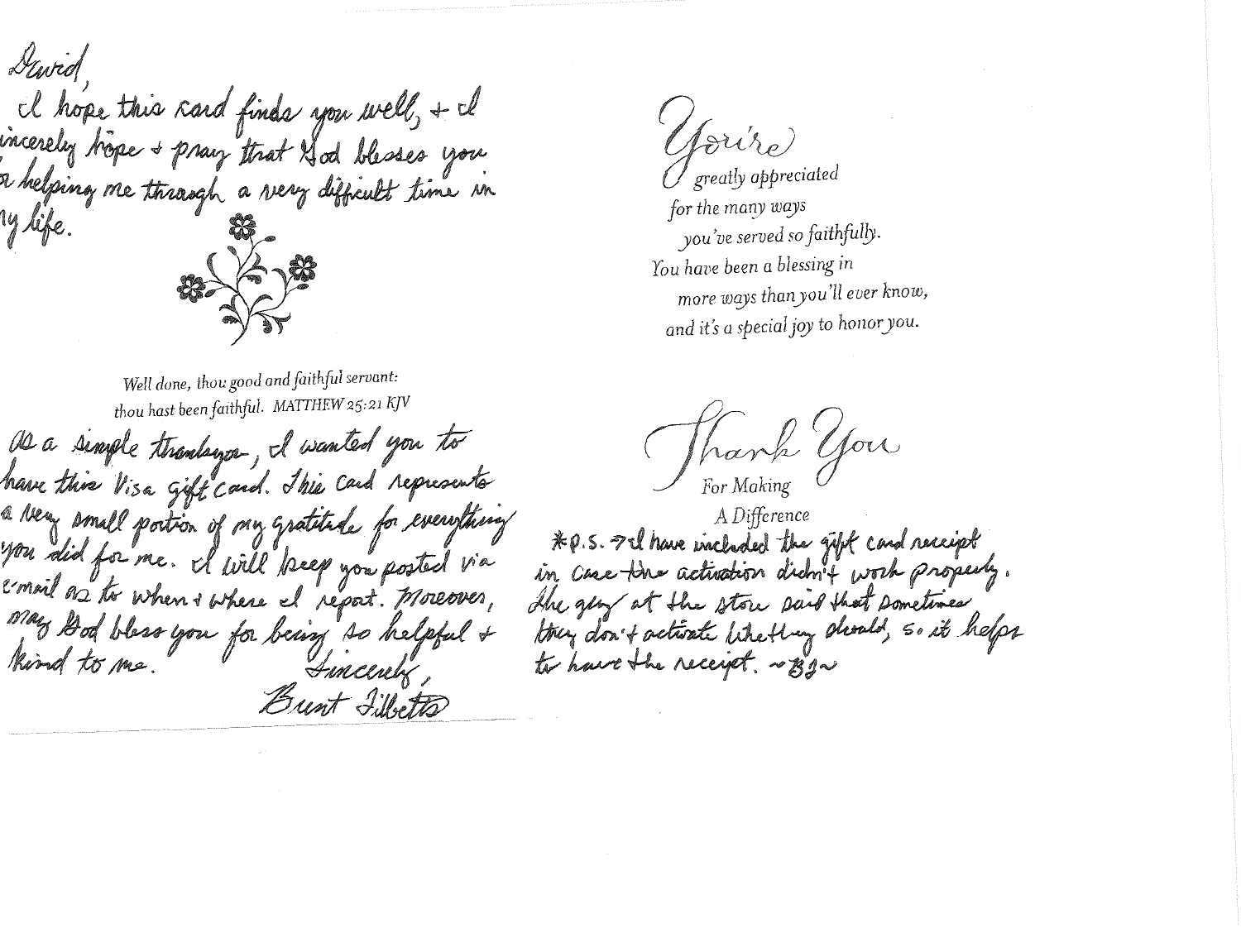Gewich I hope this card finds you well, + il<br>incerely hope + pray that A od blesses you a helping me through a very difficult time in ly life. Well done, thou good and faithful servant:

thou hast been faithful. MATTHEW 25:21 KJV De a simple thanking I wanted you to have this Visa gift card. This Card represents a very small portion of my gratitude for everything you did for me. I will been you posted via email as to when + where I report. Moreover, may God bless you for being so helpful & Brent Fillsetts

toriso greatly appreciated

for the many ways you've served so faithfully. You have been a blessing in more ways than you'll ever know, and it's a special joy to honor you.

hank you

A Difference \* P.S. I'll have included the gift card receipt in case the activation didn't work properly. The gery at the store said that sometimes they don't activate like they should, so it helps to have the receipt. ~ BIN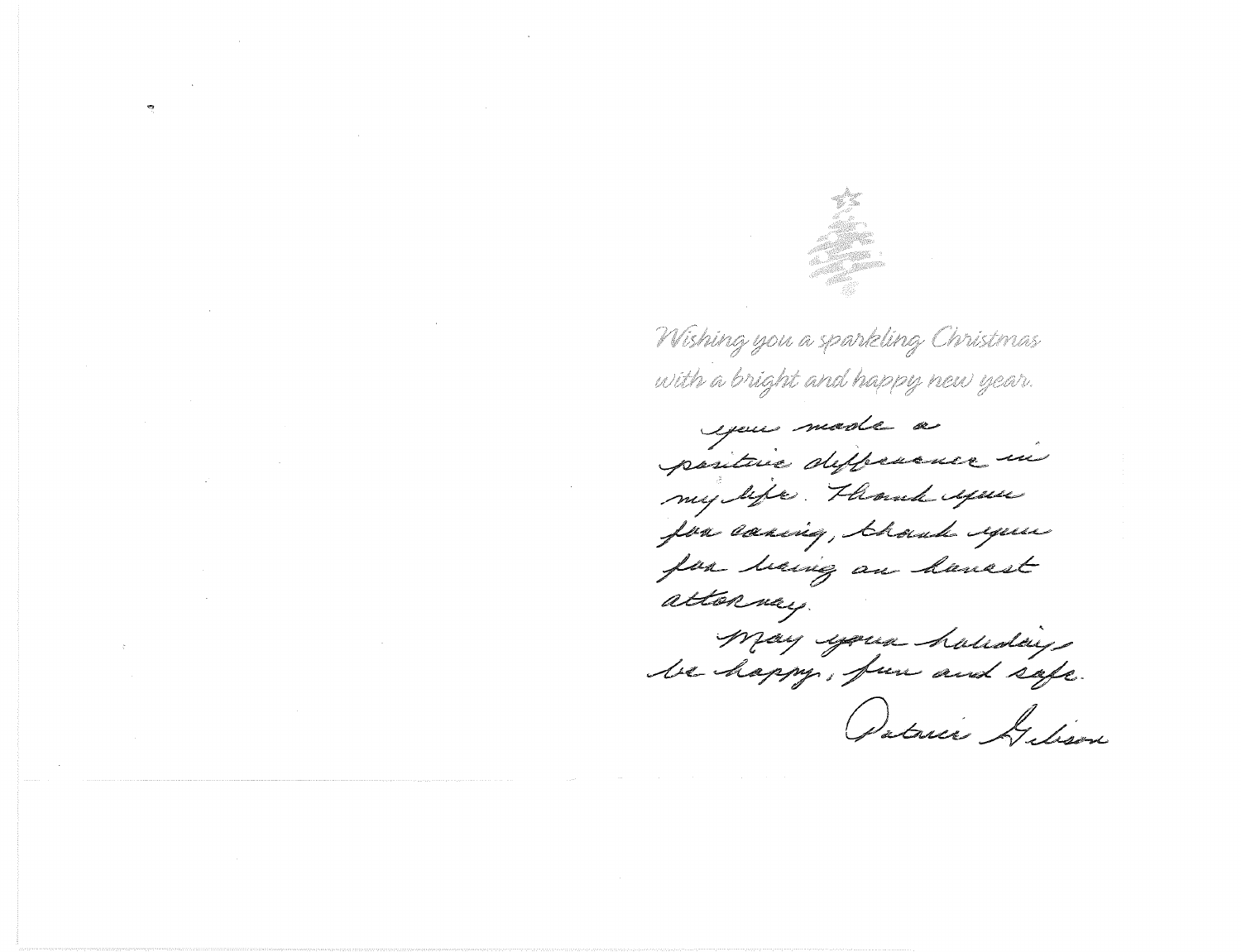

Wishing you a sparkling Christmas with a bright and happy new year.

you made a positive difference in my life. Though your for coring, thoud eque for having an hansst attonney. May your holloday, Ostrice Gelison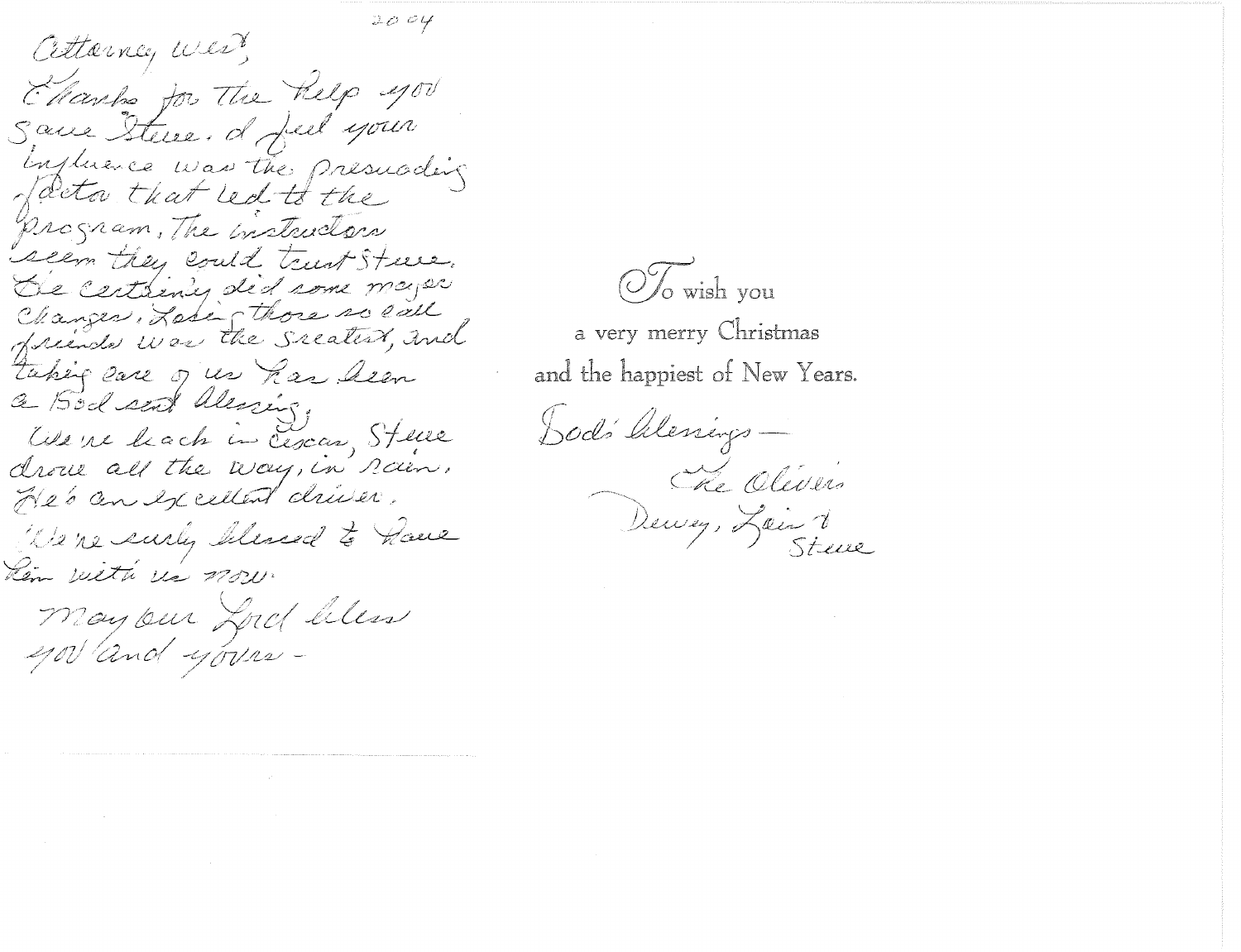$2004$ Attorney west Electro for The Relp you Same Steven d feel your Ingluence was the presuading program, The instructors seem they could trust Steve. De certainly did some major Changes, Labin those so eall taking care of us has been a Bodsat alessing We're leach in Cescar, Steve drove all the way, in rain. He's an excellent driver. We're surly blessed to have Kem with us now.

May our Lord bless govand yours-

OTo wish you

a very merry Christmas and the happiest of New Years.

Dod's Alenings-Pervez, Lois 1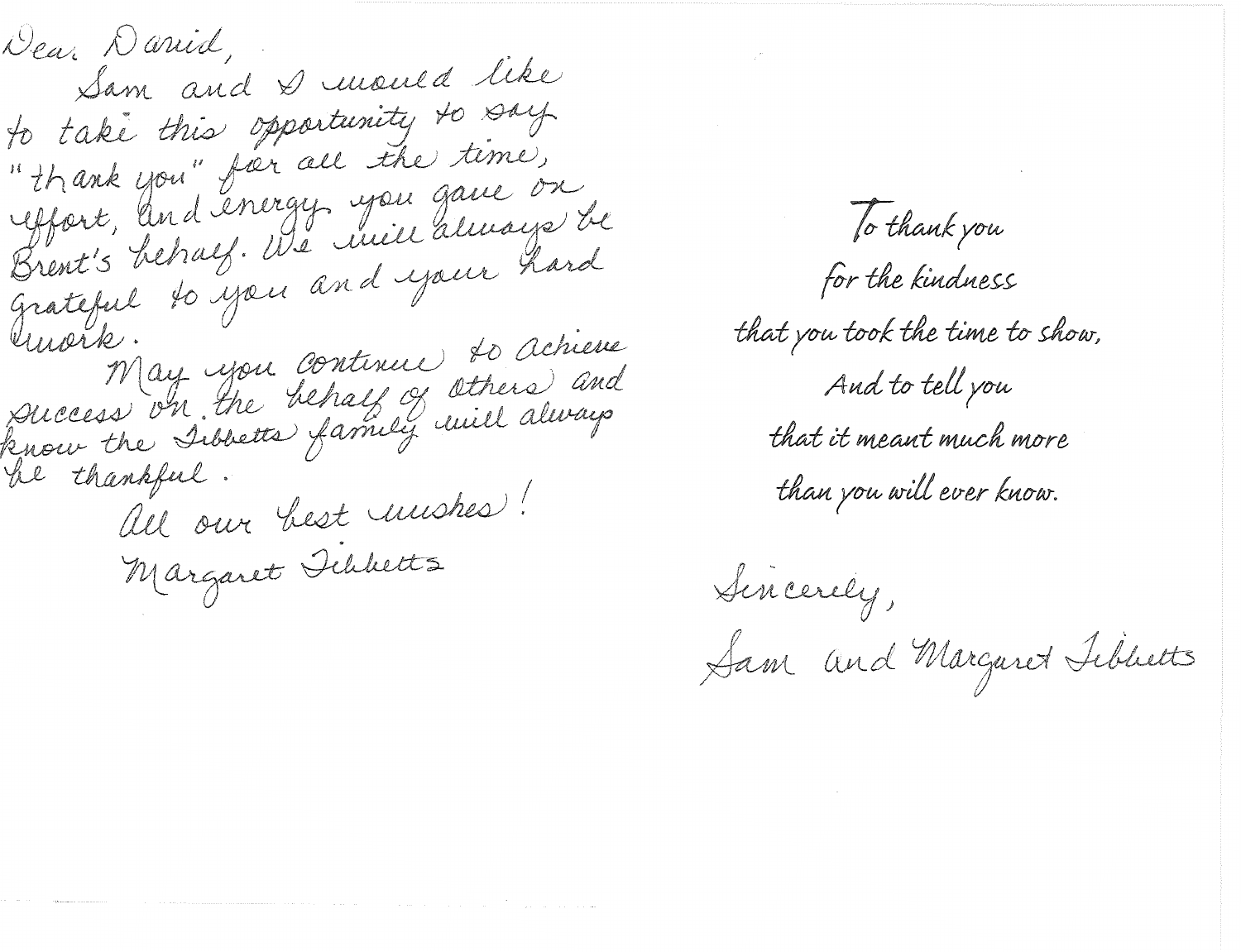Dear Darrid, Sam and Duwould like to take this opportunity to say " thank you" for all the time, Affort, and energy you gave on Grateful to you and your hard May you continue to achieve<br>Success on the behalf of others and<br>know the Sibbetts family uvill always All our best mushes!

fo thank you for the kindness that you took the time to show, And to tell you that it meant much more than you will ever know.

Sincerely, Sam and Margaret Tibbetts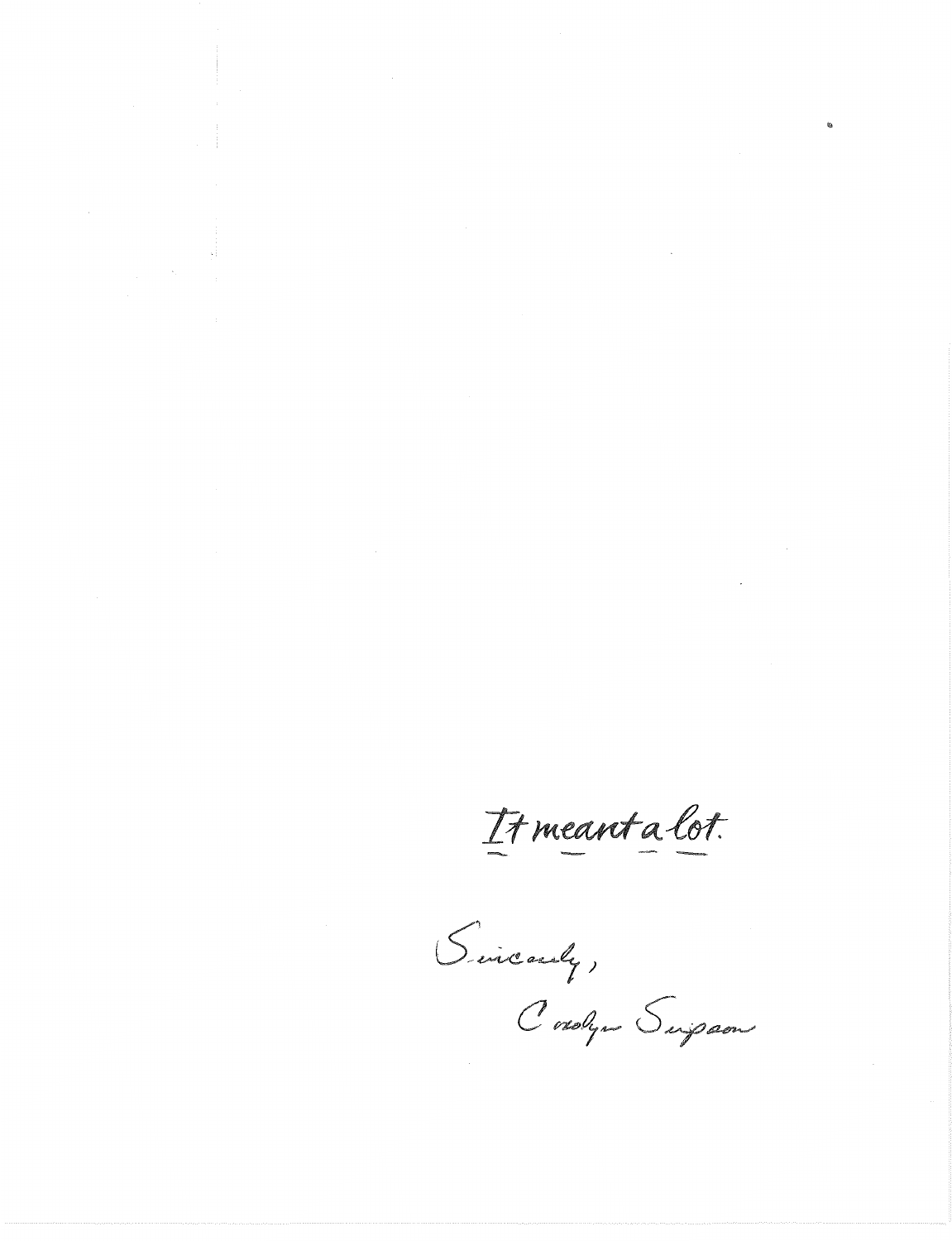It meant a lot.

Sincerely, Cordyn Suipaon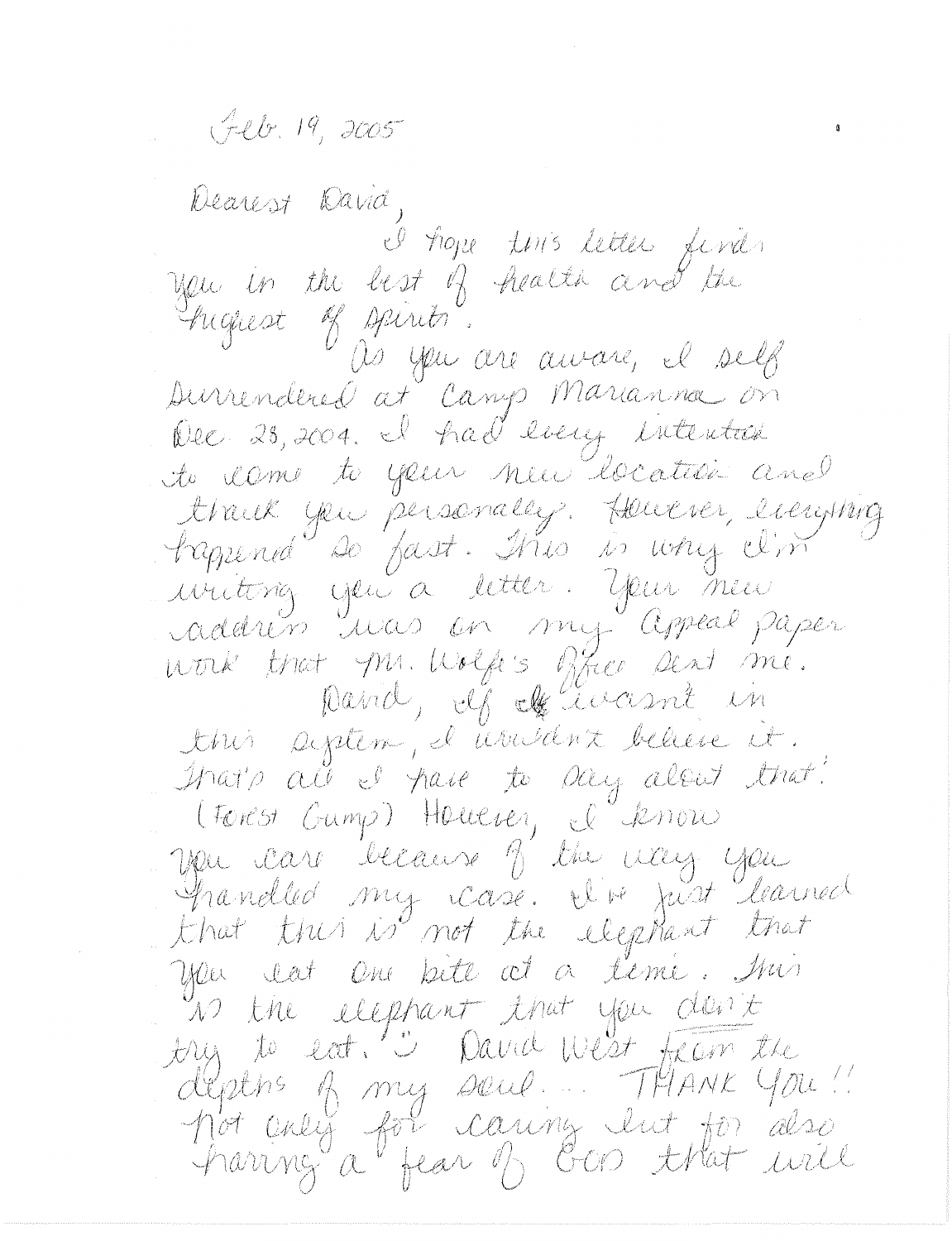Jeb. 19, 2005

Dearest David, I hope this letter finds you in the best of health and the Friguest of spirits. as you are aware, il self Durrendered at Camp Marianna on Dec 28, 2004. I had long intention to come to your new location and thank you personally. Houver, lierging iviting you a letter. Your new work that Mr. Wolfe's fixed sent me. David, If If ivant in this agitem, il nousant believe it. that's all I have to say alout that! (Forest Gump) Houever, I know you care because of the way you<br>Shandled my case. I've just learned<br>that this is not the elephant that you lat one bete at a teme. Mi n the elephant that you don't try to eat. "I David West from the deptns of my soul... THANK You! pot enly for caring lut for also<br>haring a fear of Goo that will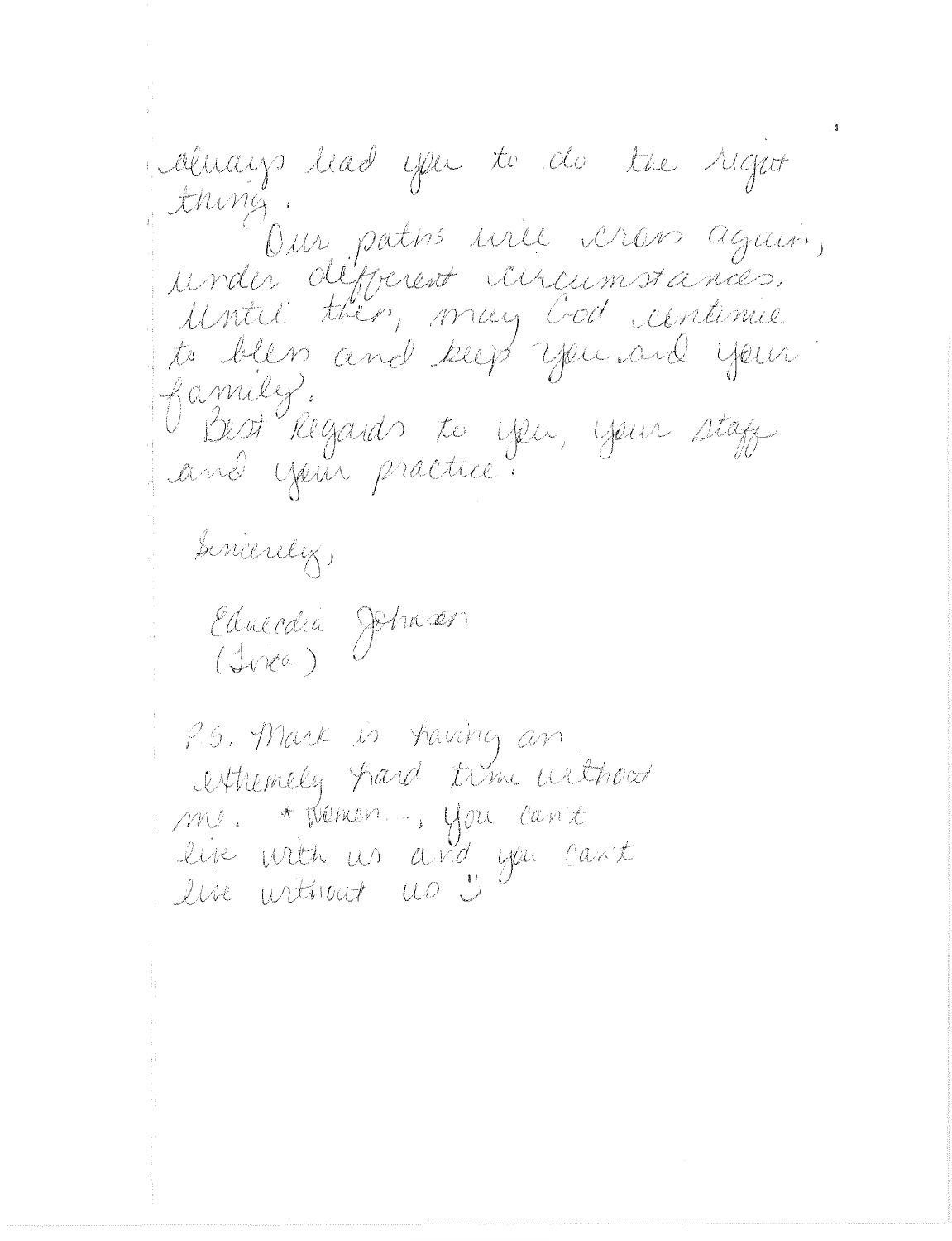always had you to do the right thing. Our patis une vrois again, under définent aucunstances. Until then, may God centimie to bless and keep you and your family. Best Regards to you, your stage and your practice. sincerely, Educació Johnson<br>(Ivica) P.G. Mark is having an extremely hard time without me. \* Wenen..., you can't live with us and you can't

live without us 5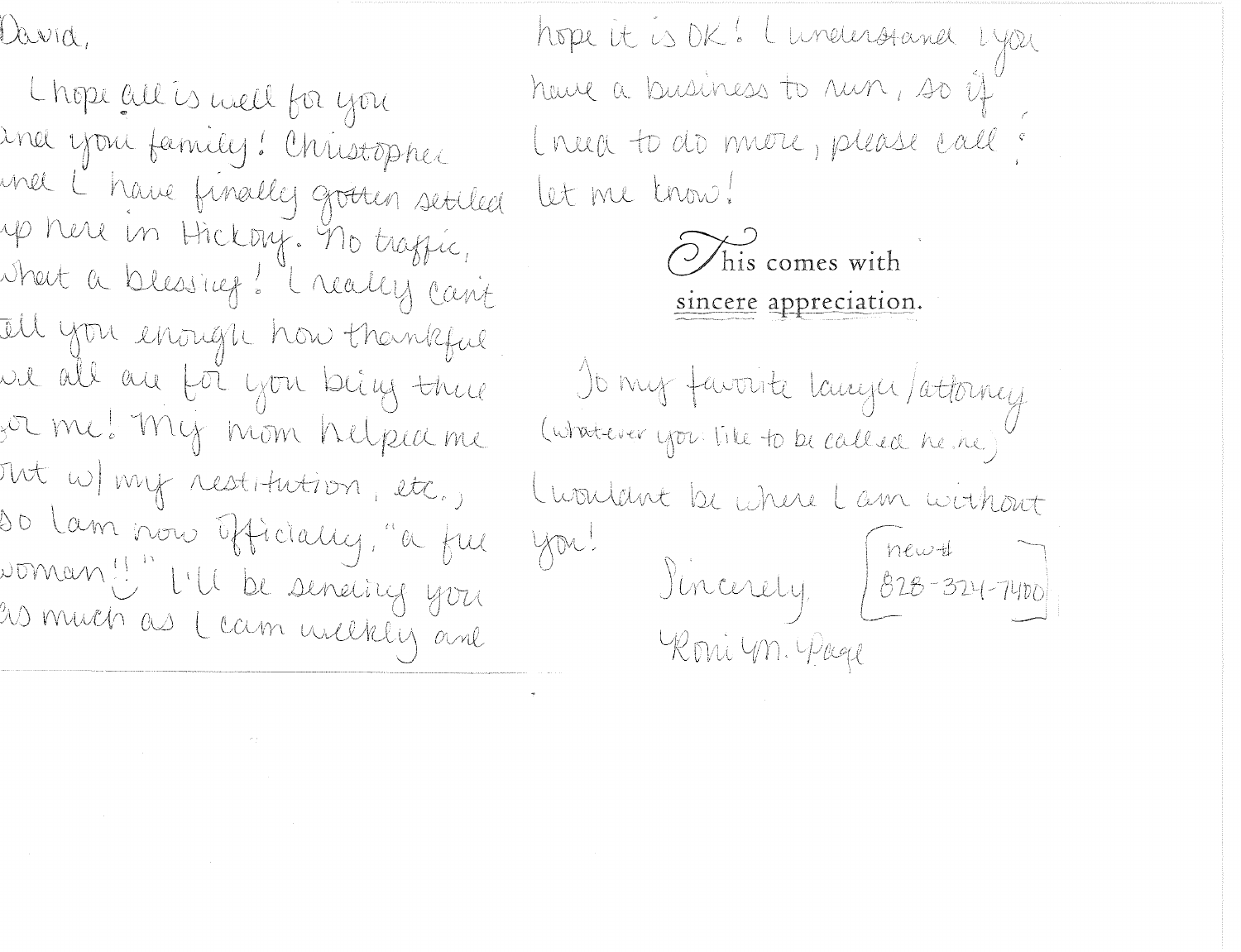David,

Chope all is well for you und you family! Christopher mel L'have finally grotten setiled up here in Hickory. The traffic, where a blessing! I really can't Ill you enough how thankful ue all au foi you beig there for me! My mom helped me Mt W my restitution, etc., so lam nous officially, "a ful woman ! "I'll be seneing you<br>20 much as Leam weekly and

hope it is DK! Lunderstand Lyon have a business to run, so if I rua to do more, please call : let me trow!

 $\overleftrightarrow{O}$  his comes with sincere appreciation.

Jo my favorite langu/attorney (whatever you like to be called he ine) Cuondant be where Lam without  $\begin{bmatrix} \text{new-1} & \text{new-1} \\ \text{0.28-324-7400} \end{bmatrix}$ you! Roni Un. Page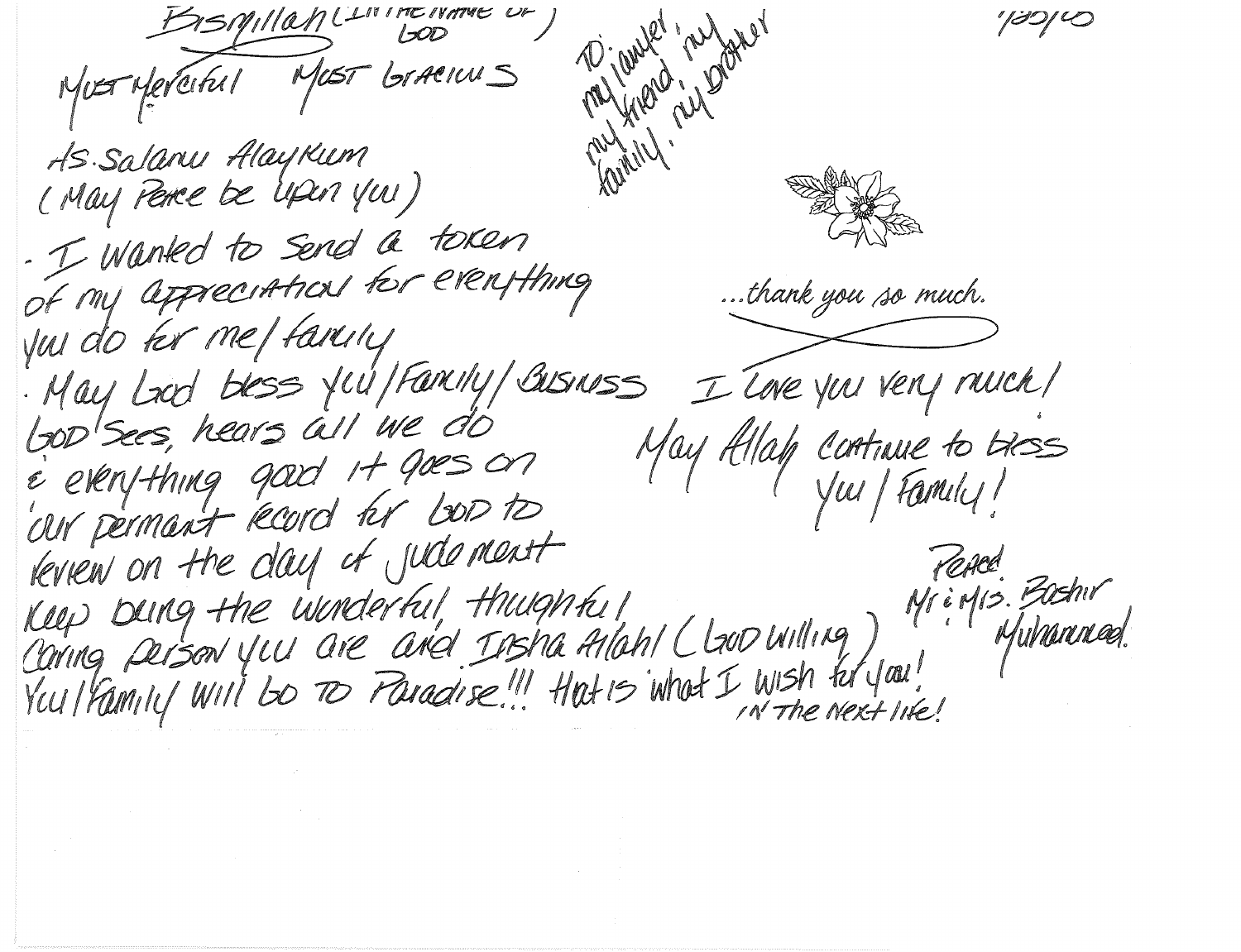Bismillant. reforer MUST Merciful MUST Graenus AS. Salanu Alaykum (May Perce be upon you) - I wanted to send a token of my appreciations for everything ...thank you so much. you do for me/farcing . May Lood bless you / Fancity / Business I Tore you very nuck/ LOD'Sees, hears all we do May Allah continue to bess e everything good it goes on our permant record hr boots Keview on the day of jude ment Keep Deing the Winderful, thiughted 1 You I Family Will be To Paradise!" Hat is what I wish for you! IN The Next life!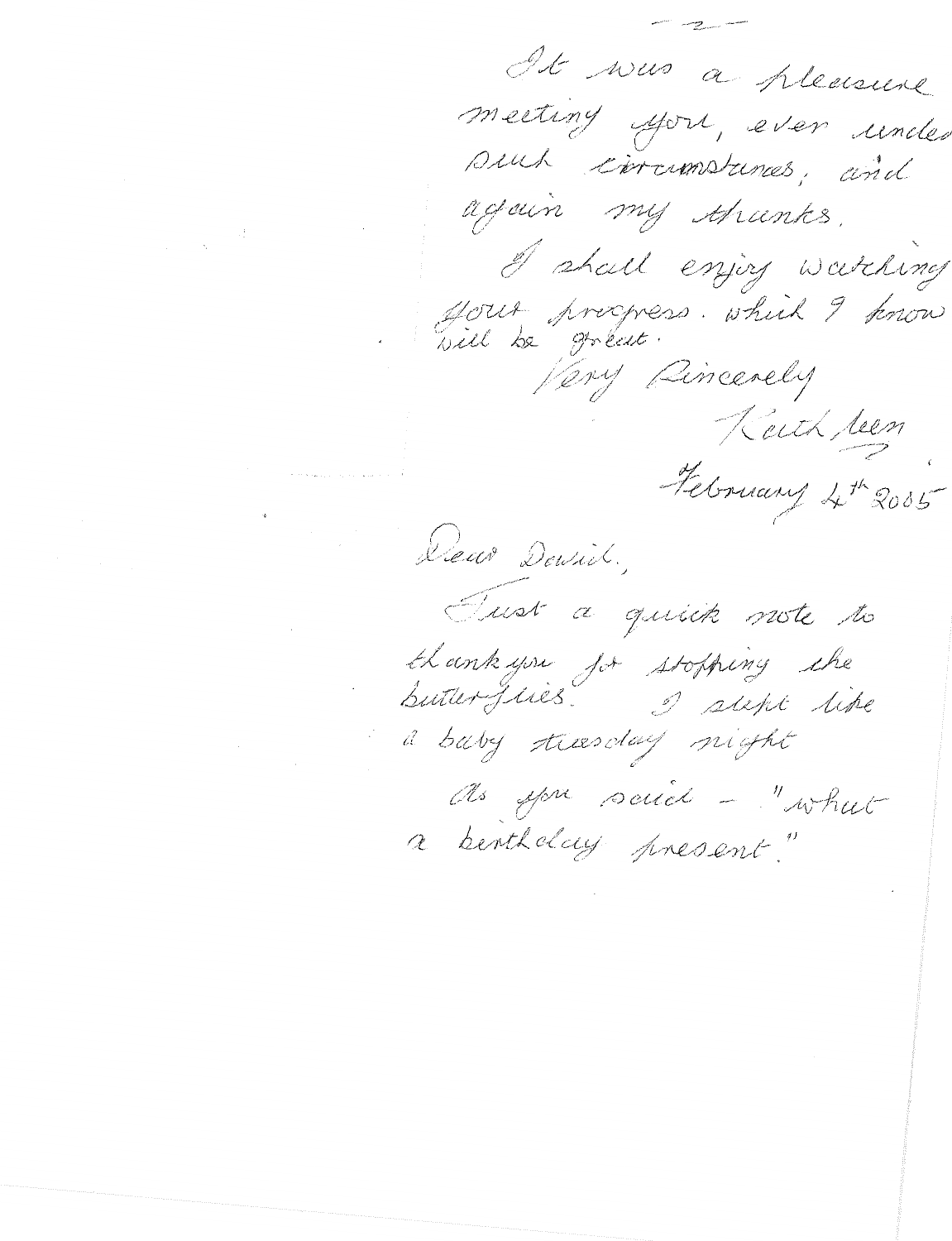It was a pleasure meeting you, even under such corrematements, and again my thanks. I shall enjoy watching Your procpess. which I know Very Pincerely Keith been February 4th 2005 Deux Devich, Tust a quick note to thank you jor stopping the a baby treesday night As you said - "what a bentholay present."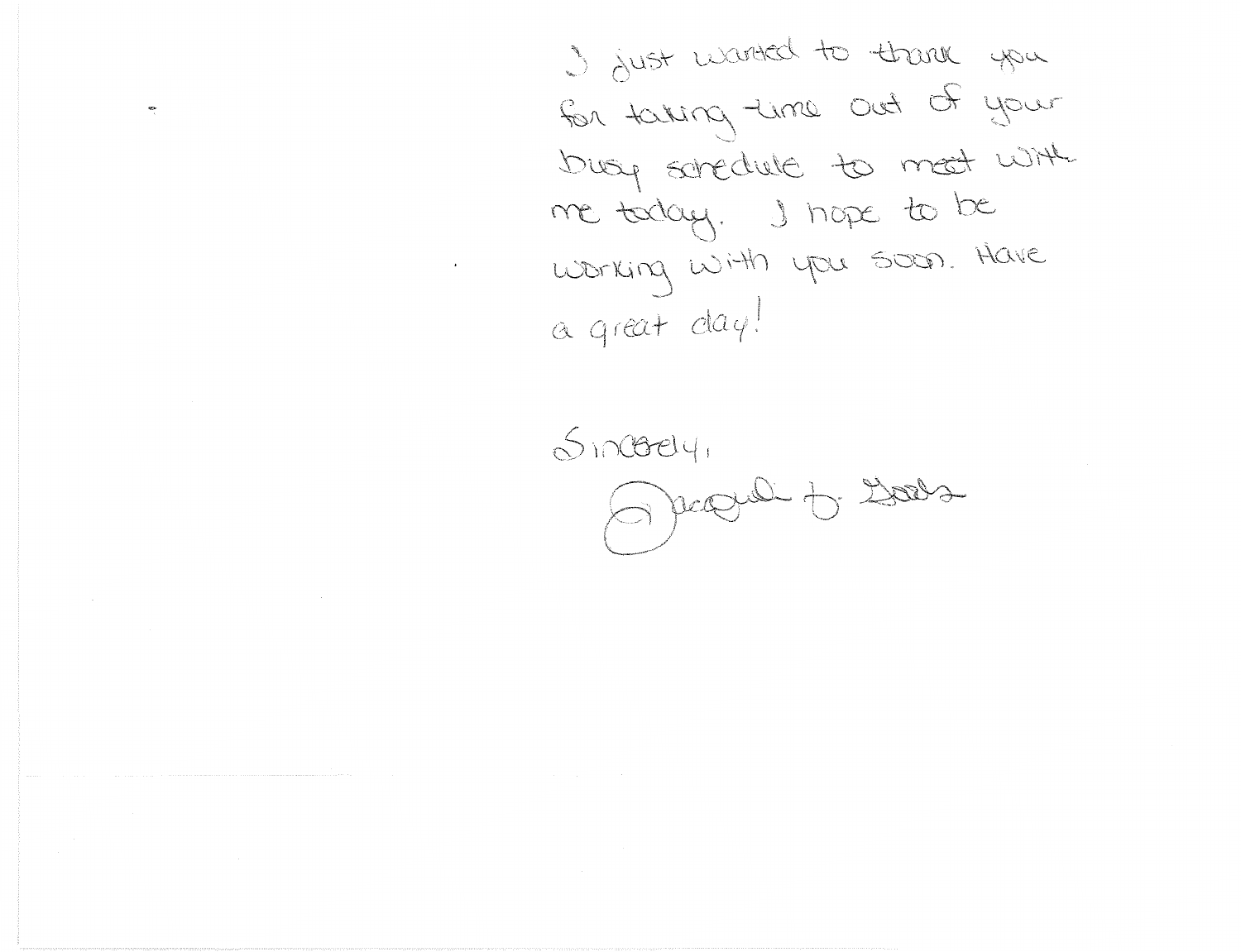I just wanted to thank you for taking time out of your busy soredule to mest with me today. I hape to be working with you soon. Have a great day!

 $S_1 \cap (Bey)$ pagnel to Dors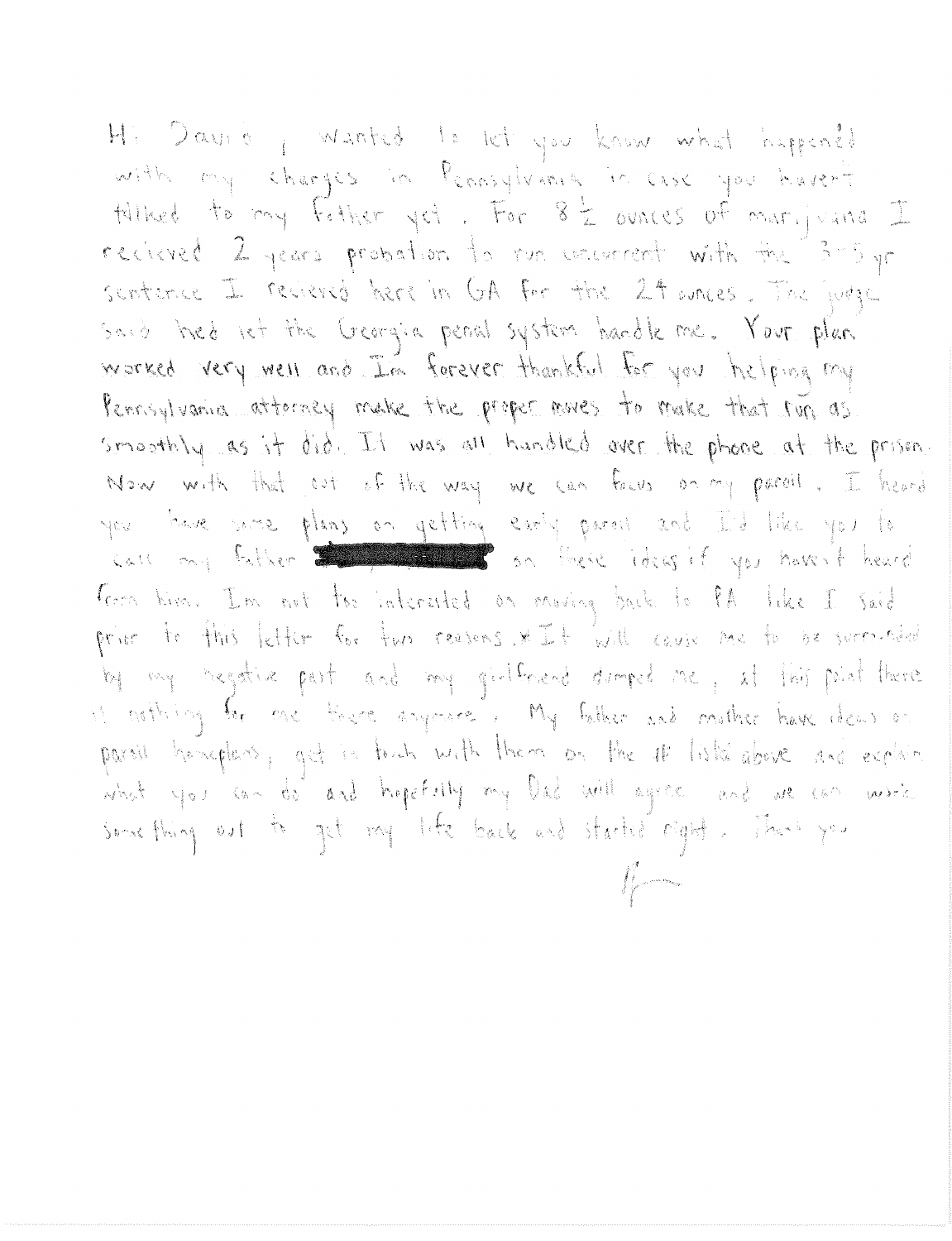Hi David , wanted to let you know what happened with my charges in Pennsylvania in case you haven't Hilbed to my father yet. For 8 2 ounces of marijuana I recieved 2 years probation to run cocurrent with the 3-5 yr sontence I recieved here in GA for the 24 wares. The judge Said thed let the Georgia peoal system handle me. Your plan worked very well and I'm forever thankful for you helping my Pernsylvania atterney make the proper noves to make that run as smoothly as it did. It was all handled over the phone at the prison. Now with that out of the way we can four on my paroil. I heard you have some plans on getting early parall and I'd like you to and ony futher the second so there identify you haven't heard form time. I'm not too interested on moving buck to PA like I said prior to this letter for two reasons. \* It will couse me to be surroided by my negative part and my girlfriend duringed me, at this paint there is nothing be one treat anyoners. My father and mother have dear on parall homeplans, get in finish with them on the 4 lists above and explain what you can do and hopefully my Dad will agree and we can write something out to get my like back and started right. That you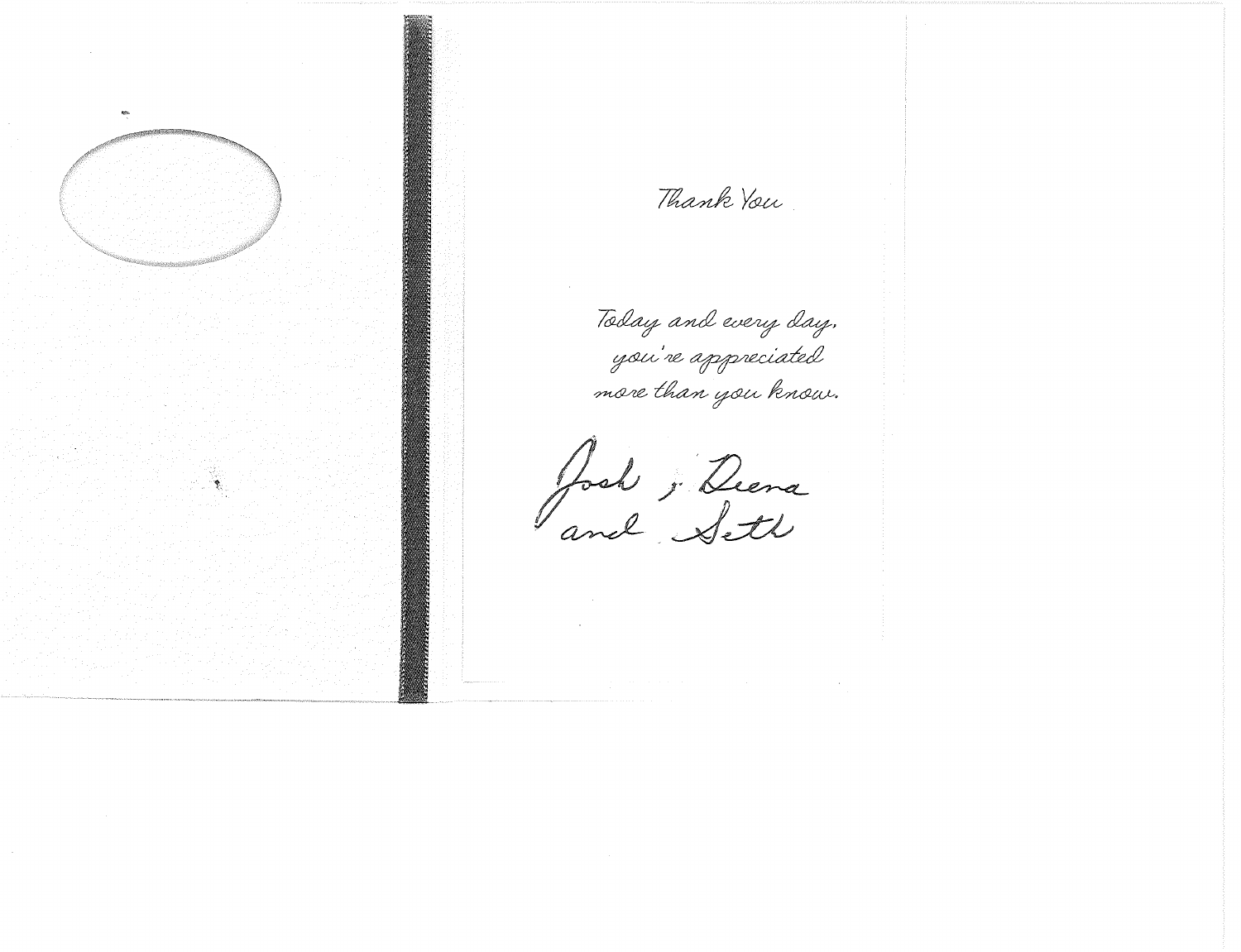

Thank You

Today and every day. you're appreciated more than you know.

Josh ; Deena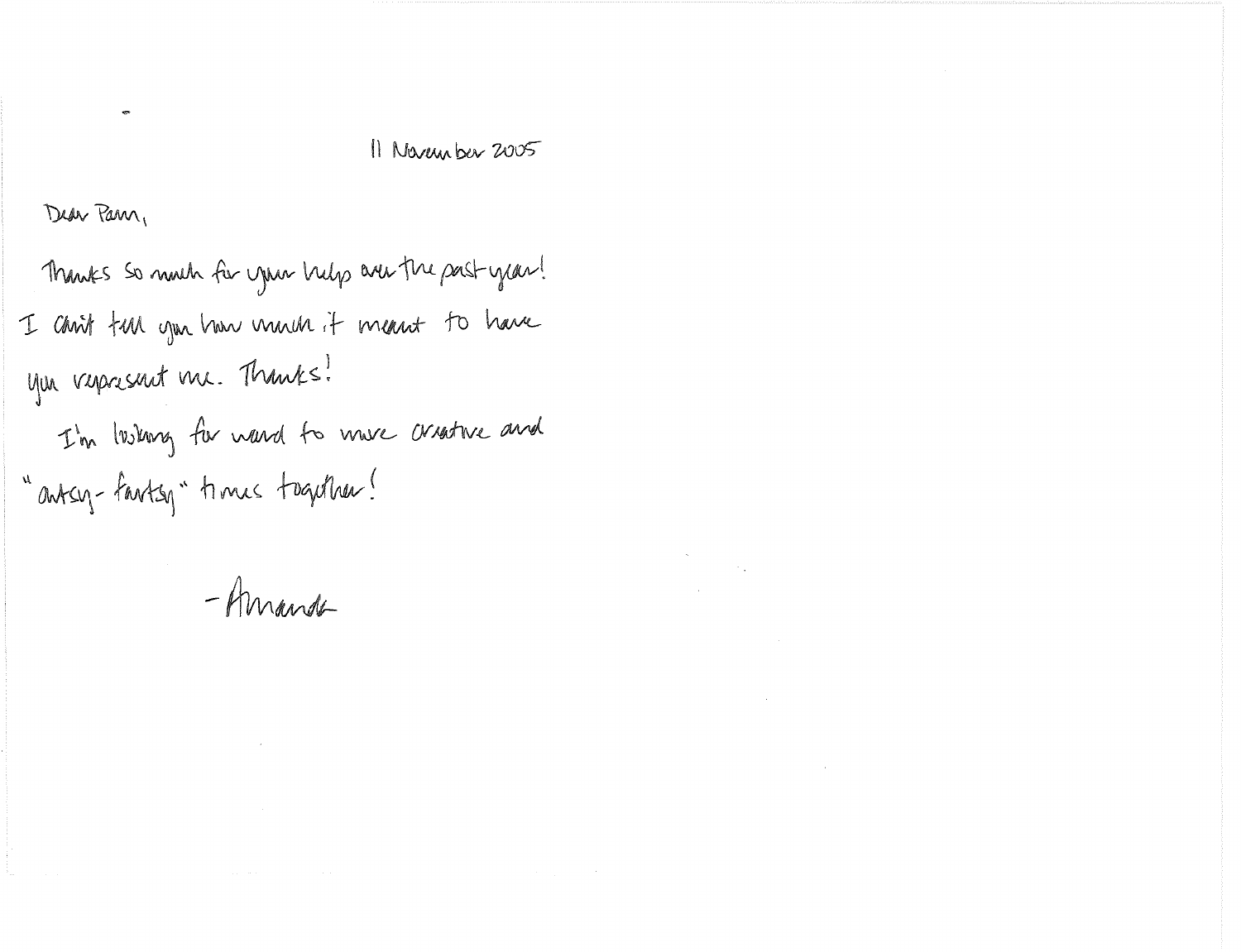# 11 November 2005

 $\label{eq:2.1} \mathcal{L}_{\mathcal{A}}(\mathcal{A}) = \mathcal{L}_{\mathcal{A}}(\mathcal{A}) = \mathcal{L}_{\mathcal{A}}(\mathcal{A}) = \mathcal{L}_{\mathcal{A}}(\mathcal{A})$ 

 $\label{eq:2.1} \frac{1}{\sqrt{2}}\sum_{i=1}^n\frac{1}{\sqrt{2}}\sum_{i=1}^n\frac{1}{\sqrt{2}}\sum_{i=1}^n\frac{1}{\sqrt{2}}\sum_{i=1}^n\frac{1}{\sqrt{2}}\sum_{i=1}^n\frac{1}{\sqrt{2}}\sum_{i=1}^n\frac{1}{\sqrt{2}}\sum_{i=1}^n\frac{1}{\sqrt{2}}\sum_{i=1}^n\frac{1}{\sqrt{2}}\sum_{i=1}^n\frac{1}{\sqrt{2}}\sum_{i=1}^n\frac{1}{\sqrt{2}}\sum_{i=1}^n\frac$ 

 $\mathcal{L}(\mathcal{L}(\mathcal{L}(\mathcal{L}(\mathcal{L}(\mathcal{L}(\mathcal{L}(\mathcal{L}(\mathcal{L}(\mathcal{L}(\mathcal{L}(\mathcal{L}(\mathcal{L}(\mathcal{L}(\mathcal{L}(\mathcal{L}(\mathcal{L}(\mathcal{L}(\mathcal{L}(\mathcal{L}(\mathcal{L}(\mathcal{L}(\mathcal{L}(\mathcal{L}(\mathcal{L}(\mathcal{L}(\mathcal{L}(\mathcal{L}(\mathcal{L}(\mathcal{L}(\mathcal{L}(\mathcal{L}(\mathcal{L}(\mathcal{L}(\mathcal{L}(\mathcal{L}(\mathcal{$ 

 $\label{eq:2.1} \frac{1}{\sqrt{2}}\int_{\mathbb{R}^3}\frac{1}{\sqrt{2}}\left(\frac{1}{\sqrt{2}}\right)^2\left(\frac{1}{\sqrt{2}}\right)^2\left(\frac{1}{\sqrt{2}}\right)^2\left(\frac{1}{\sqrt{2}}\right)^2\left(\frac{1}{\sqrt{2}}\right)^2.$ 

Dear Pann,

Thanks so much for your help are the past year! I chrit tun you how much it mant to have you verpresent me. Thanks! I'm lushing for wand to mure creative and "antsy-fantsy" times together!

-Amande

 $\label{eq:2.1} \mathcal{L}(\mathcal{L}^{\text{max}}_{\text{max}}(\mathcal{L}^{\text{max}}_{\text{max}}(\mathcal{L}^{\text{max}}_{\text{max}}(\mathcal{L}^{\text{max}}_{\text{max}}(\mathcal{L}^{\text{max}}_{\text{max}}(\mathcal{L}^{\text{max}}_{\text{max}}(\mathcal{L}^{\text{max}}_{\text{max}}(\mathcal{L}^{\text{max}}_{\text{max}}(\mathcal{L}^{\text{max}}_{\text{max}}(\mathcal{L}^{\text{max}}_{\text{max}}(\mathcal{L}^{\text{max}}_{\text{max}}(\mathcal{L}^$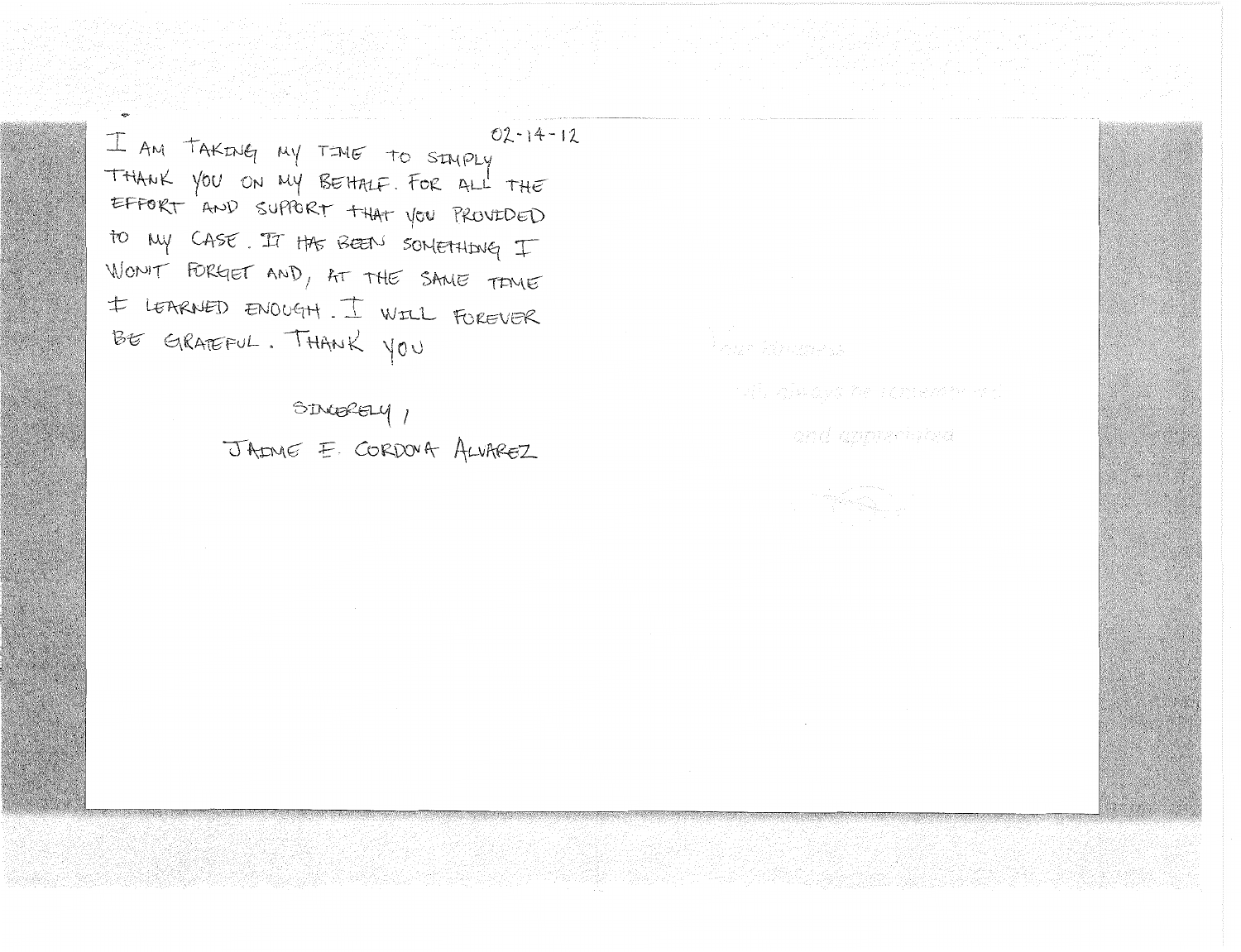I AM TAKING MY TIME TO SIMPLY THANK YOU ON MY BEHALF. FOR ALL THE EFFORT AND SUPPORT THAT YOU PROVEDED to my CASE. It the BEEN SOMETHING I WON'T FORGET AND, AT THE SAME TIME I LEARNED ENOUGH. I WILL FOREVER BE GRATEFUL. THANK YOU

> SINGRELY 1 JAME E. CORDOVA ALVAREZ

 $02 - 14 - 12$ 

vil, alexays he consulto a c

and apprecipad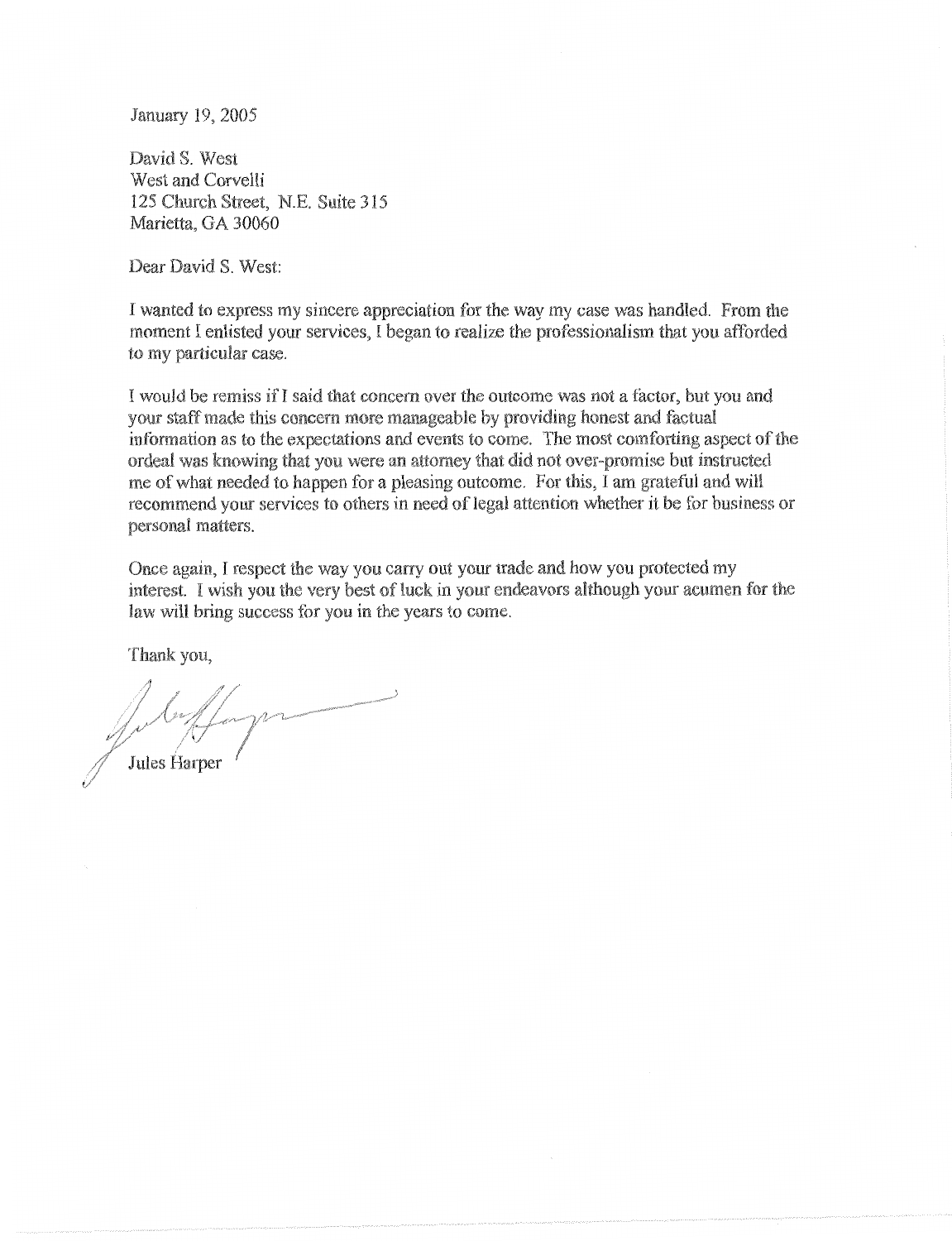January 19, 2005

David S. West West and Corvelli 125 Church Street, N.E. Suite 315 Marietta, GA 30060

Dear David S. West:

I wanted to express my sincere appreciation for the way my case was handled. From the moment I enlisted your services, 1 began to realize the professionalism that you afforded to my particular case.

I would be remiss if I said that concern over the outcome was not a factor, but you and vour staff made this concern more manageable by providing honest and factual information as to the expectations and events to come. The most comforting aspect of the ordeal was knowing that you were an attorney that did not over-promise but instructed me of what needed to happen for a pleasing outcome. For this, I am grateful and will recommend your services to others in need of legal attention whether it be for business or personal matters.

Once again, I respect the way you carry out your trade and how you protected my interest. I wish you the very best of luck in your endeavors although your acumen for the law will bring success for you in the years to come.

Thank you,

Jules Harper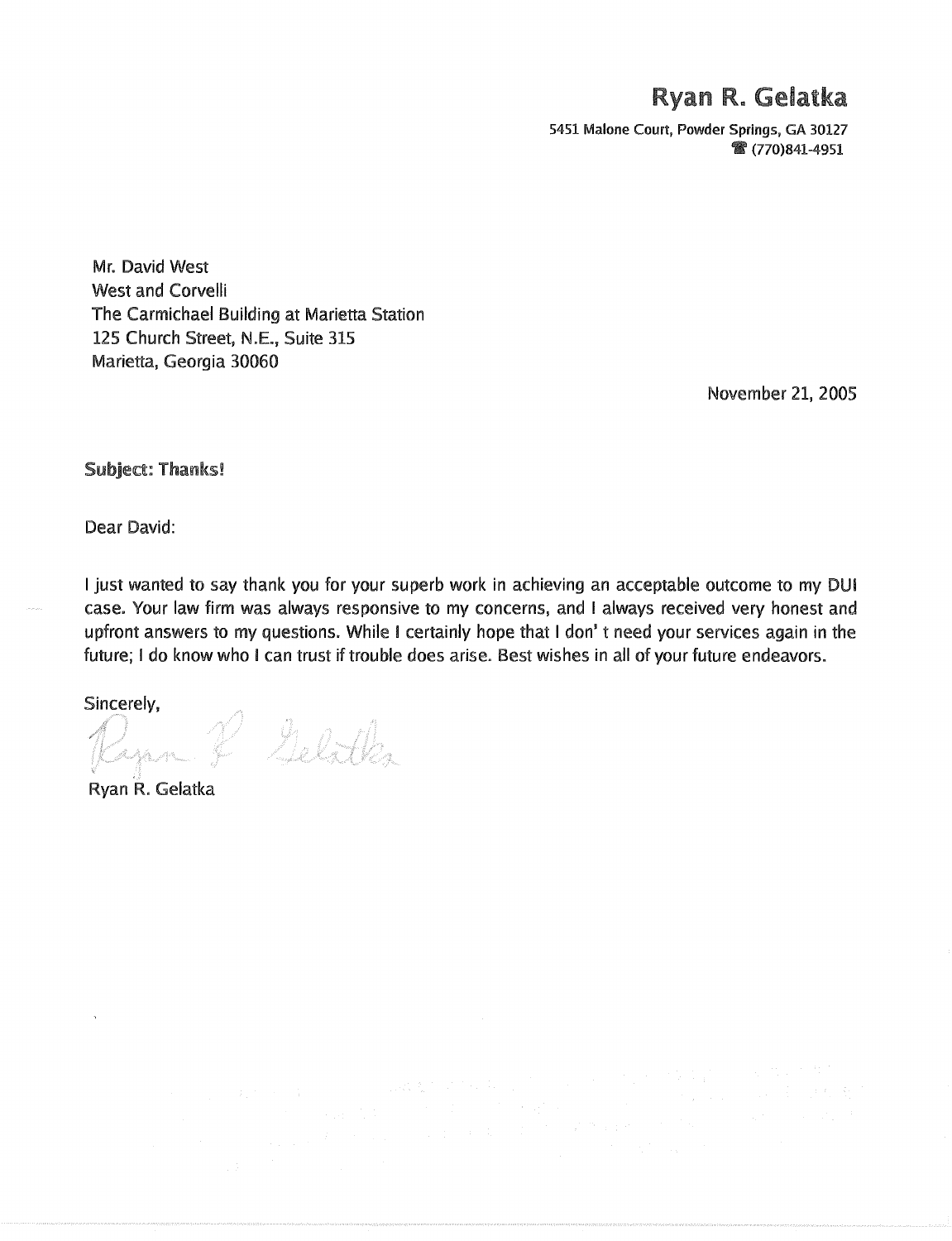# Ryan R. Gelatka

5451 Malone Court, Powder Springs, GA 30127 **● (770)841-4951** 

Mr. David West West and Corvelli The Carmichael Building at Marietta Station 125 Church Street, N.E., Suite 315 Marietta, Georgia 30060

November 21, 2005

Subject: Thanks!

Dear David:

I just wanted to say thank you for your superb work in achieving an acceptable outcome to my DUI case. Your law firm was always responsive to my concerns, and I always received very honest and upfront answers to my questions. While I certainly hope that I don't need your services again in the future; I do know who I can trust if trouble does arise. Best wishes in all of your future endeavors.

Sincerely,<br>Rapan & Gelätka

Ryan R. Gelatka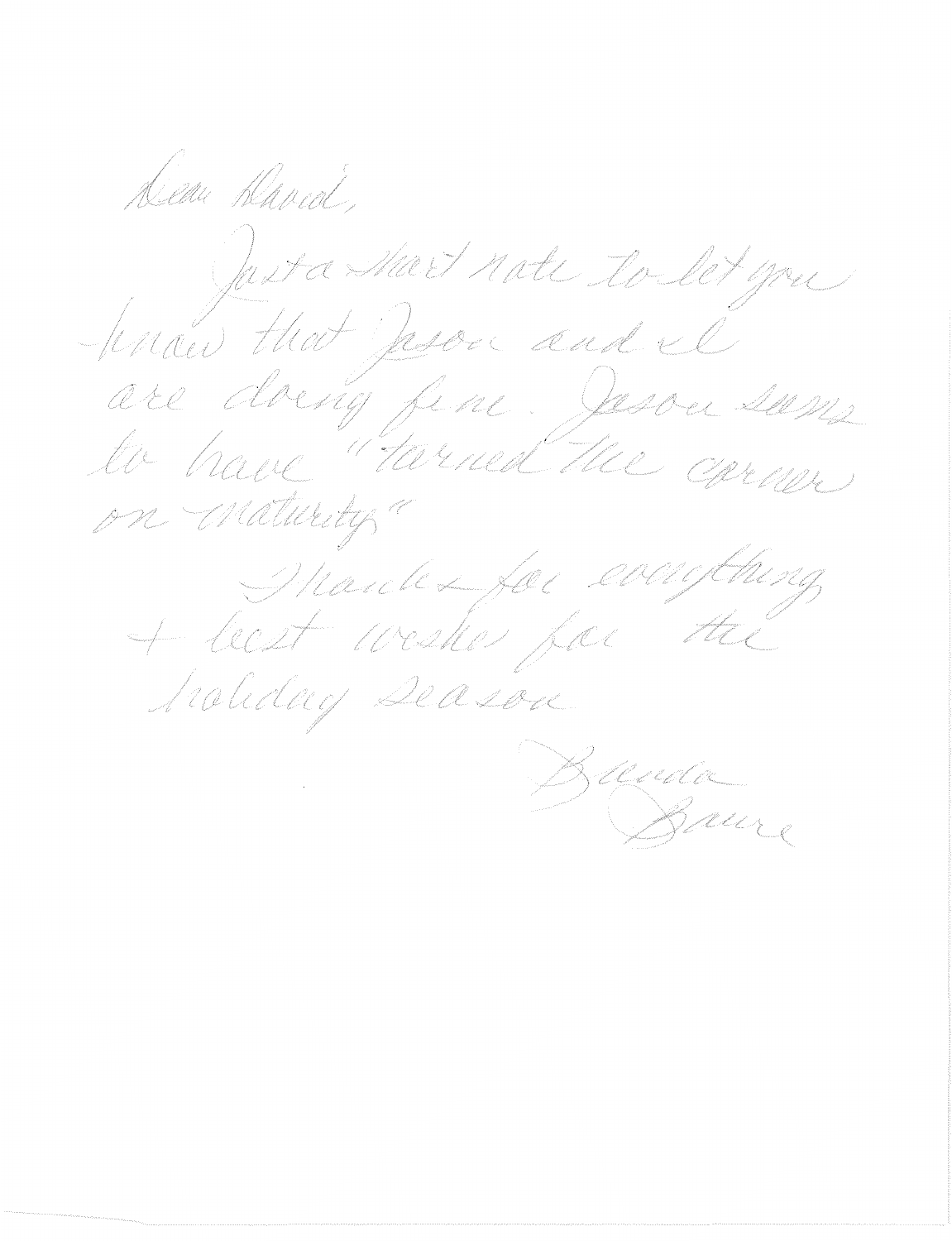Diem David, Justa Mart note to let you are doing fine. Jesser sams on maturity racthing March La fac el + least wester for Ht C Scaliday Deason Duna Baure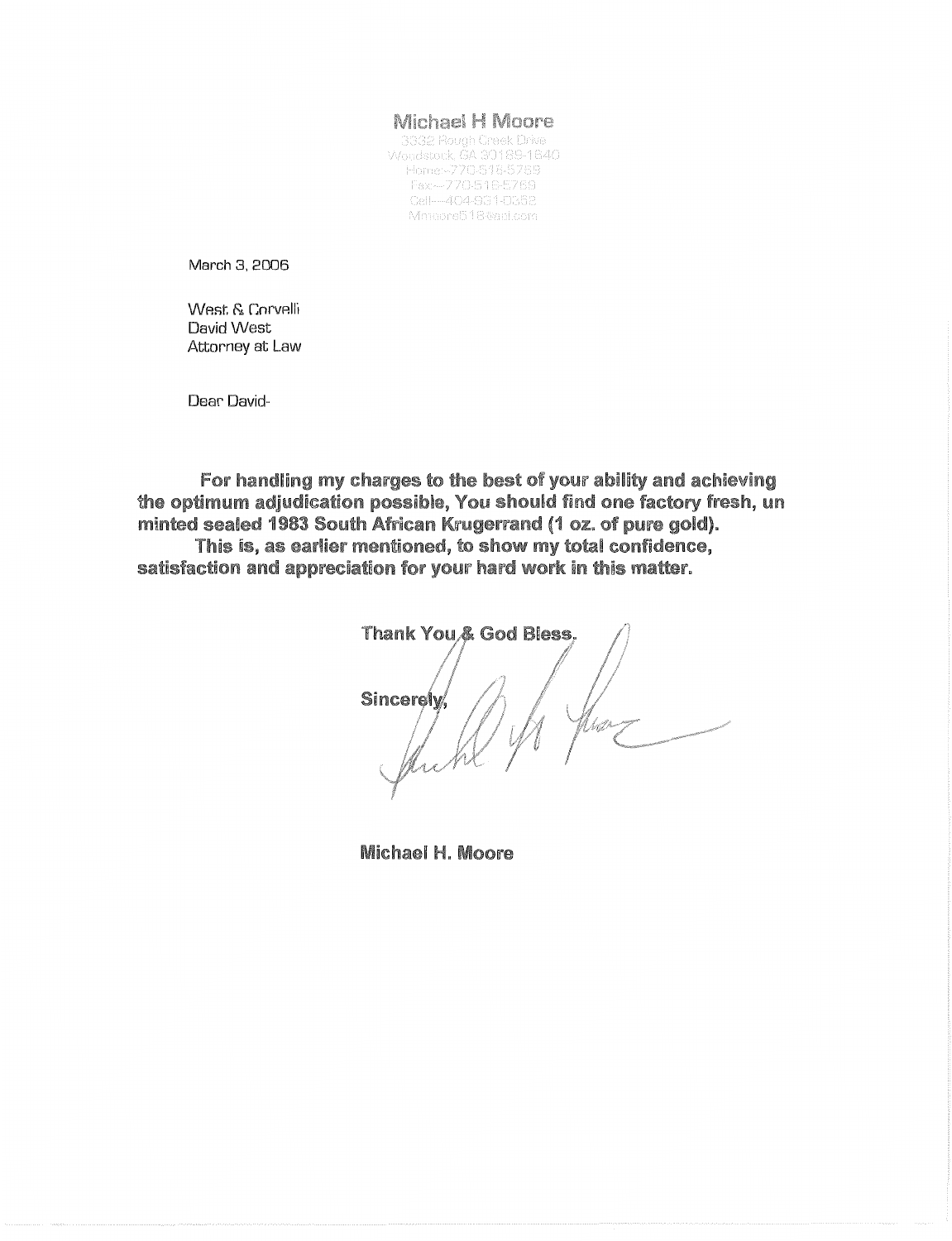#### **Michael H Moore**

3332 Rough Creek Drive Woodstock, GA 30189-1640 Home:-770-516-5769 Fax-770-516-5769<br>Cell--404-931-0352 Mmoore518@aol.com

March 3, 2006

West. & Corvelli David West Attorney at Law

Dear David-

For handling my charges to the best of your ability and achieving the optimum adjudication possible, You should find one factory fresh, un minted sealed 1983 South African Krugerrand (1 oz. of pure gold). This is, as earlier mentioned, to show my total confidence,

satisfaction and appreciation for your hard work in this matter.

Thank You & God Bless. Sincerely

Michael H. Moore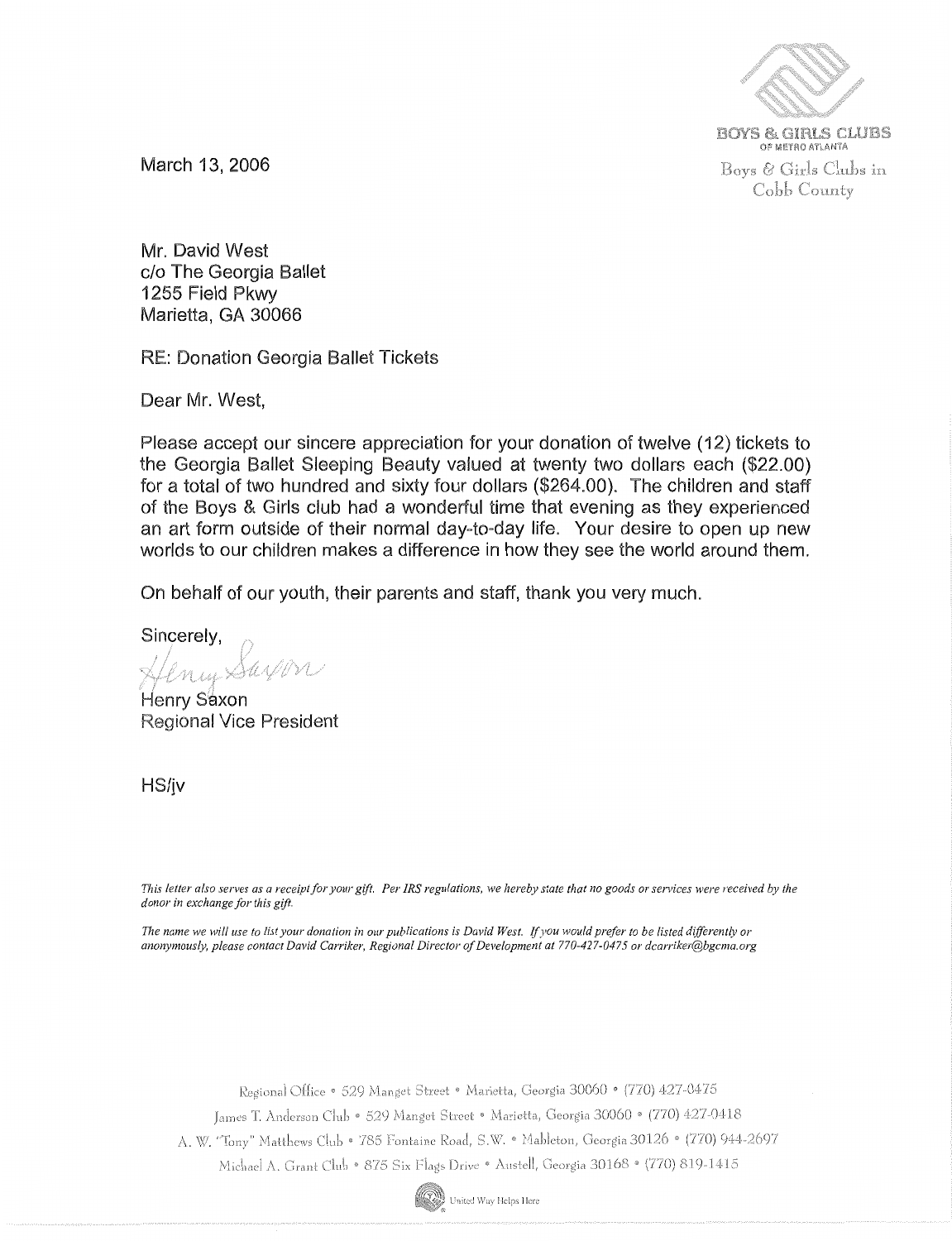

**BOYS & GIRLS CLUBS** OF METRO ATLANTA Boys & Girls Clubs in Cobb County

March 13, 2006

Mr. David West c/o The Georgia Ballet 1255 Field Pkwy Marietta, GA 30066

RE: Donation Georgia Ballet Tickets

Dear Mr. West,

Please accept our sincere appreciation for your donation of twelve ( 12) tickets to the Georgia Ballet Sleeping Beauty valued at twenty two dollars each (\$22.00) for a total of two hundred and sixty four dollars (\$264.00). The children and staff of the Boys & Girls club had a wonderful time that evening as they experienced an art form outside of their normal day-to-day life. Your desire to open up new worlds to our children makes a difference in how they see the world around them.

On behalf of our youth, their parents and staff, thank you very much.

Sincerely,

enin Sayon

Henry Saxon Regional Vice President

HS/jv

*This letter also serves as a receipt for your gift. Per IRS regulations, we hereby state that no goods or services were received by the donor in exchange for this gift.* 

The name we will use to list your donation in our publications is David West. If you would prefer to be listed differently or *anonymously, please contact David Carriker, Regional Director of Development at 770-427-0475 or dcarriker@bgcma.org* 

Regional Office · 529 Manget Street · Marietta, Georgia 30060 · (770) 427-0475

James T. Anderson Club • 529 Manget Street • Marietta, Georgia 30060 • (770) 427-0418

A. W. "Tony" Matthews Club • 785 Fontaine Road, S.W. • Mableton, Georgia 30126 • (770) 944-2697

Michael A. Grant Club • 875 Six Flags Drive • Austell, Georgia 30168 • (770) 819-1415

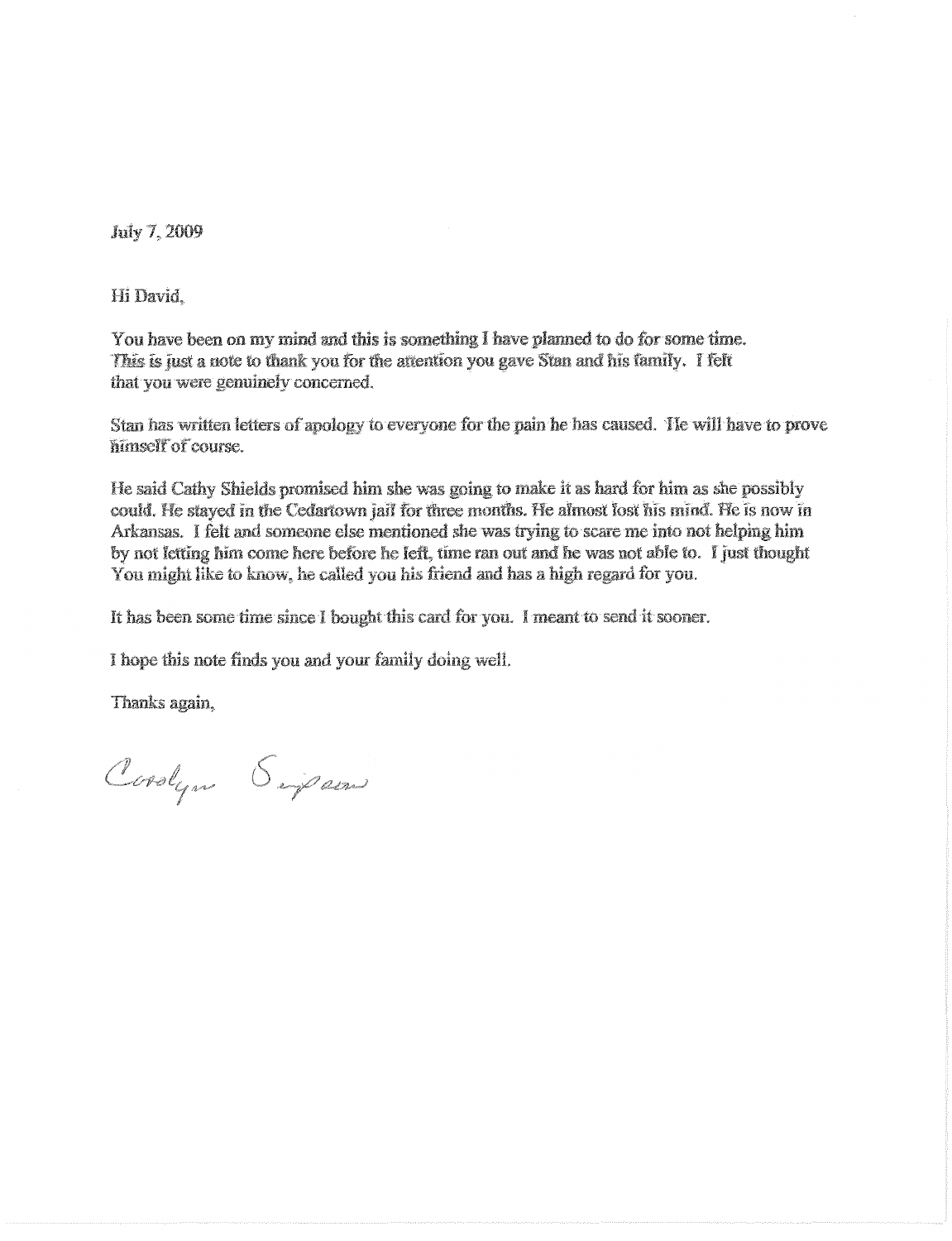July 7, 2009

Hi David.

You have been on my mind and this is something I have planned to do for some time. This is just a note to thank you for the attention you gave Stan and his family. I felt that you were genuinely concerned.

Stan has written letters of apology to everyone for the pain he has caused. He will have to prove himself of course.

He said Cathy Shields promised him she was going to make it as hard for him as she possibly could. He stayed in the Cedartown jail for three months. He almost lost his mind. He is now in Arkansas. I felt and someone else mentioned she was trying to scare me into not helping him by not letting him come here before he left, time ran out and he was not able to. I just thought You might like to know, he called you his friend and has a high regard for you.

It has been some time since I bought this card for you. I meant to send it sooner.

I hope this note finds you and your family doing well.

Thanks again.

Coolyn Sipan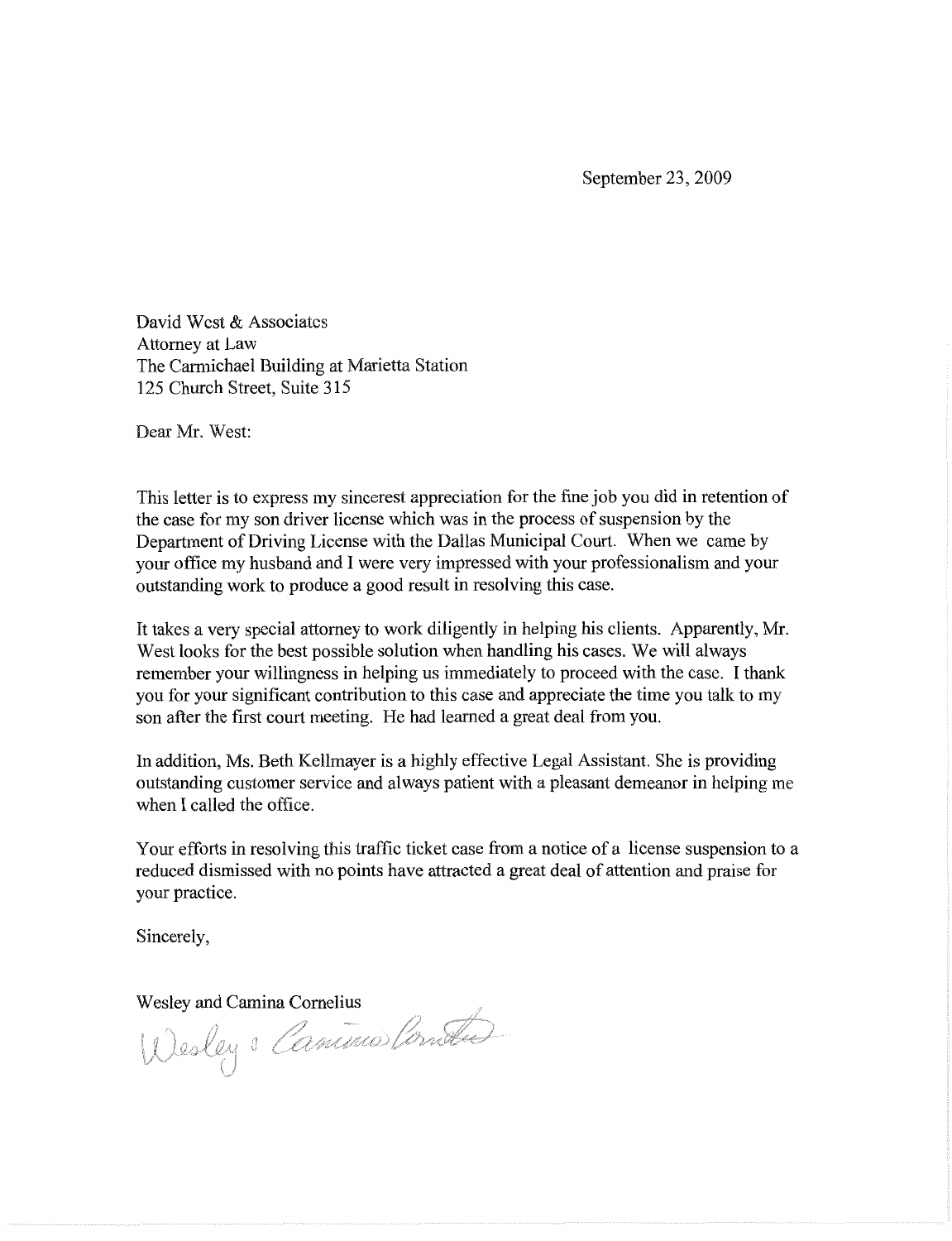September 23, 2009

David West & Associates Attorney at Law The Carmichael Building at Marietta Station 125 Church Street, Suite 315

Dear Mr. West:

This letter is to express my sincerest appreciation for the fine job you did in retention of the case for my son driver license which was in the process of suspension by the Department of Driving License with the Dallas Municipal Court. When we came by your office my husband and I were very impressed with your professionalism and your outstanding work to produce a good result in resolving this case.

It takes a very special attorney to work diligently in helping his clients. Apparently, Mr. West looks for the best possible solution when handling his cases. We will always remember your willingness in helping us immediately to proceed with the case. I thank you for your significant contribution to this case and appreciate the time you talk to my son after the first court meeting. He had learned a great deal from you.

In addition, Ms. Beth Kellmayer is a highly effective Legal Assistant. She is providing outstanding customer service and always patient with a pleasant demeanor in helping me when I called the office.

Your efforts in resolving this traffic ticket case from a notice of a license suspension to a reduced dismissed with no points have attracted a great deal of attention and praise for your practice.

Sincerely,

Wesley and Camina Cornelius<br>Wesley & Camino Cornelius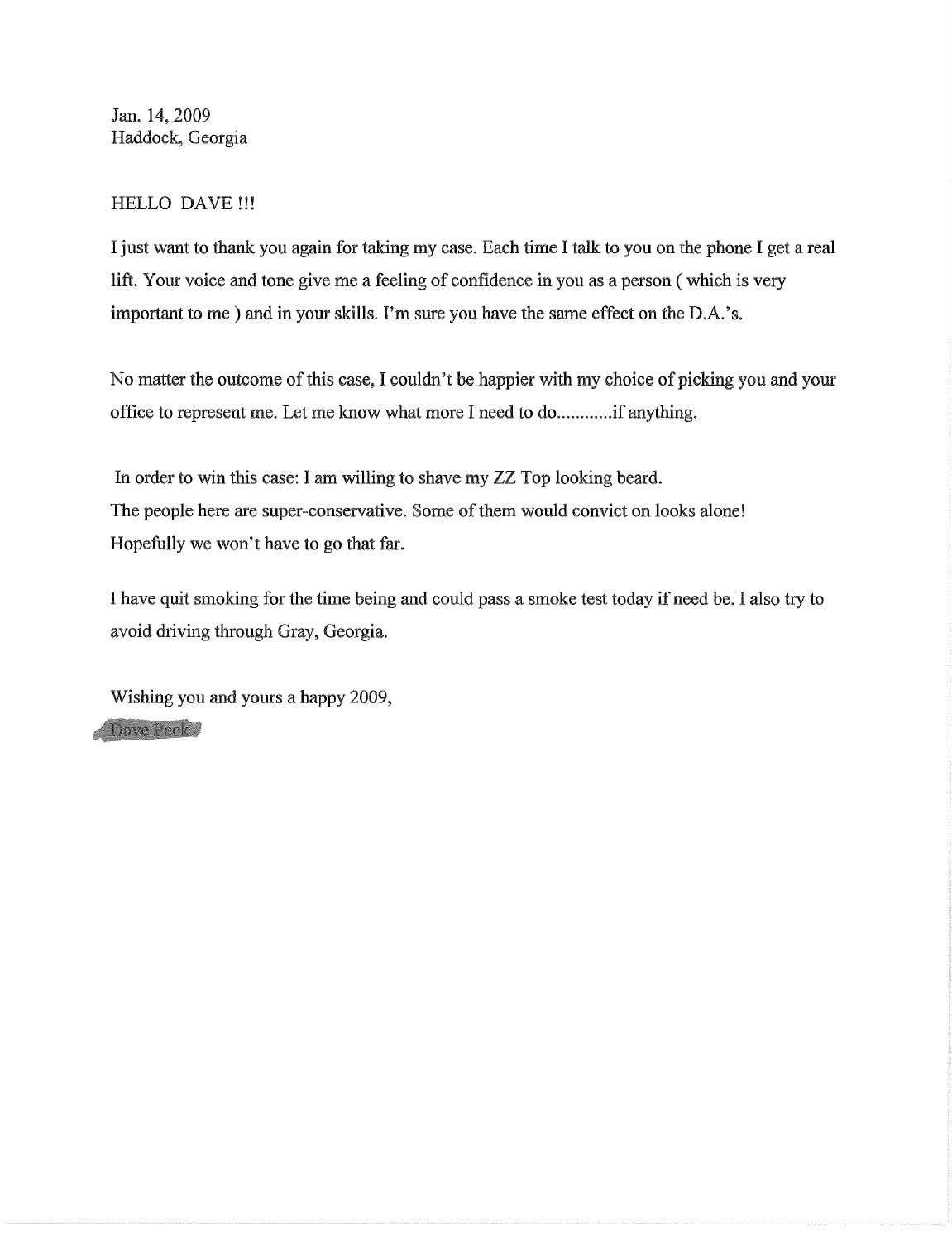Jan. 14,2009 Haddock, Georgia

### HELLO DAVE !!!

I just want to thank you again for taking my case. Each time I talk to you on the phone I get a real lift. Your voice and tone give me a feeling of confidence in you as a person ( which is very important to me) and in your skills. I'm sure you have the same effect on the D.A.'s.

No matter the outcome of this case, I couldn't be happier with my choice of picking you and your office to represent me. Let me know what more I need to do............if anything.

In order to win this case: I am willing to shave my ZZ Top looking beard. The people here are super-conservative. Some of them would convict on looks alone! Hopefully we won't have to go that far.

I have quit smoking for the time being and could pass a smoke test today if need be. I also try to avoid driving through Gray, Georgia.

Wishing you and yours a happy 2009, Dave Peck